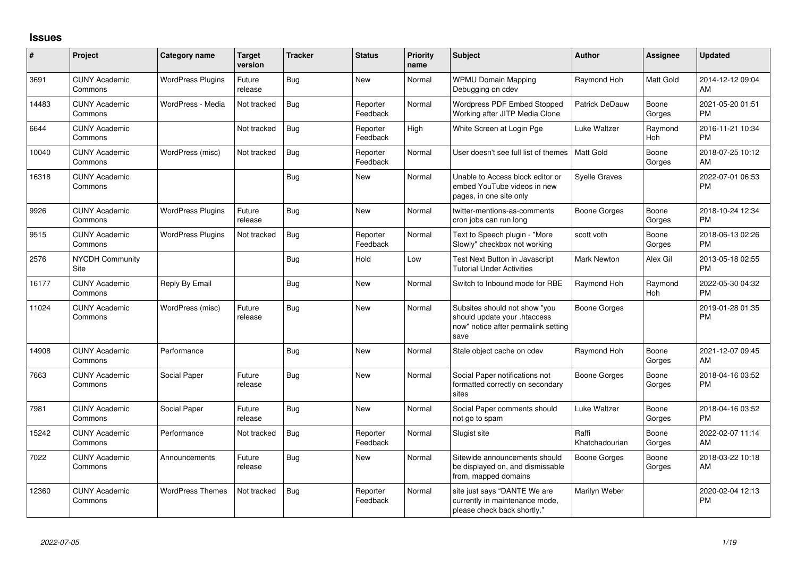## **Issues**

| #     | Project                         | <b>Category name</b>     | <b>Target</b><br>version | <b>Tracker</b> | <b>Status</b>        | <b>Priority</b><br>name | Subject                                                                                                      | <b>Author</b>           | <b>Assignee</b> | <b>Updated</b>                |
|-------|---------------------------------|--------------------------|--------------------------|----------------|----------------------|-------------------------|--------------------------------------------------------------------------------------------------------------|-------------------------|-----------------|-------------------------------|
| 3691  | <b>CUNY Academic</b><br>Commons | <b>WordPress Plugins</b> | Future<br>release        | Bug            | <b>New</b>           | Normal                  | <b>WPMU Domain Mapping</b><br>Debugging on cdev                                                              | Raymond Hoh             | Matt Gold       | 2014-12-12 09:04<br>AM        |
| 14483 | <b>CUNY Academic</b><br>Commons | WordPress - Media        | Not tracked              | Bug            | Reporter<br>Feedback | Normal                  | Wordpress PDF Embed Stopped<br>Working after JITP Media Clone                                                | Patrick DeDauw          | Boone<br>Gorges | 2021-05-20 01:51<br><b>PM</b> |
| 6644  | <b>CUNY Academic</b><br>Commons |                          | Not tracked              | Bug            | Reporter<br>Feedback | High                    | White Screen at Login Pge                                                                                    | Luke Waltzer            | Raymond<br>Hoh  | 2016-11-21 10:34<br><b>PM</b> |
| 10040 | <b>CUNY Academic</b><br>Commons | WordPress (misc)         | Not tracked              | <b>Bug</b>     | Reporter<br>Feedback | Normal                  | User doesn't see full list of themes                                                                         | <b>Matt Gold</b>        | Boone<br>Gorges | 2018-07-25 10:12<br><b>AM</b> |
| 16318 | <b>CUNY Academic</b><br>Commons |                          |                          | Bug            | New                  | Normal                  | Unable to Access block editor or<br>embed YouTube videos in new<br>pages, in one site only                   | <b>Syelle Graves</b>    |                 | 2022-07-01 06:53<br><b>PM</b> |
| 9926  | <b>CUNY Academic</b><br>Commons | <b>WordPress Plugins</b> | Future<br>release        | Bug            | <b>New</b>           | Normal                  | twitter-mentions-as-comments<br>cron jobs can run long                                                       | Boone Gorges            | Boone<br>Gorges | 2018-10-24 12:34<br><b>PM</b> |
| 9515  | <b>CUNY Academic</b><br>Commons | <b>WordPress Plugins</b> | Not tracked              | Bug            | Reporter<br>Feedback | Normal                  | Text to Speech plugin - "More<br>Slowly" checkbox not working                                                | scott voth              | Boone<br>Gorges | 2018-06-13 02:26<br><b>PM</b> |
| 2576  | NYCDH Community<br>Site         |                          |                          | <b>Bug</b>     | Hold                 | Low                     | Test Next Button in Javascript<br><b>Tutorial Under Activities</b>                                           | <b>Mark Newton</b>      | Alex Gil        | 2013-05-18 02:55<br><b>PM</b> |
| 16177 | <b>CUNY Academic</b><br>Commons | Reply By Email           |                          | Bug            | <b>New</b>           | Normal                  | Switch to Inbound mode for RBE                                                                               | Raymond Hoh             | Raymond<br>Hoh  | 2022-05-30 04:32<br><b>PM</b> |
| 11024 | <b>CUNY Academic</b><br>Commons | WordPress (misc)         | Future<br>release        | <b>Bug</b>     | <b>New</b>           | Normal                  | Subsites should not show "you<br>should update your .htaccess<br>now" notice after permalink setting<br>save | Boone Gorges            |                 | 2019-01-28 01:35<br><b>PM</b> |
| 14908 | <b>CUNY Academic</b><br>Commons | Performance              |                          | Bug            | <b>New</b>           | Normal                  | Stale object cache on cdev                                                                                   | Raymond Hoh             | Boone<br>Gorges | 2021-12-07 09:45<br>AM        |
| 7663  | <b>CUNY Academic</b><br>Commons | Social Paper             | Future<br>release        | <b>Bug</b>     | <b>New</b>           | Normal                  | Social Paper notifications not<br>formatted correctly on secondary<br>sites                                  | Boone Gorges            | Boone<br>Gorges | 2018-04-16 03:52<br>PM        |
| 7981  | <b>CUNY Academic</b><br>Commons | Social Paper             | Future<br>release        | Bug            | <b>New</b>           | Normal                  | Social Paper comments should<br>not go to spam                                                               | Luke Waltzer            | Boone<br>Gorges | 2018-04-16 03:52<br><b>PM</b> |
| 15242 | <b>CUNY Academic</b><br>Commons | Performance              | Not tracked              | Bug            | Reporter<br>Feedback | Normal                  | Slugist site                                                                                                 | Raffi<br>Khatchadourian | Boone<br>Gorges | 2022-02-07 11:14<br>AM.       |
| 7022  | <b>CUNY Academic</b><br>Commons | Announcements            | Future<br>release        | Bug            | <b>New</b>           | Normal                  | Sitewide announcements should<br>be displayed on, and dismissable<br>from, mapped domains                    | Boone Gorges            | Boone<br>Gorges | 2018-03-22 10:18<br>AM        |
| 12360 | <b>CUNY Academic</b><br>Commons | <b>WordPress Themes</b>  | Not tracked              | Bug            | Reporter<br>Feedback | Normal                  | site just says "DANTE We are<br>currently in maintenance mode,<br>please check back shortly."                | Marilyn Weber           |                 | 2020-02-04 12:13<br><b>PM</b> |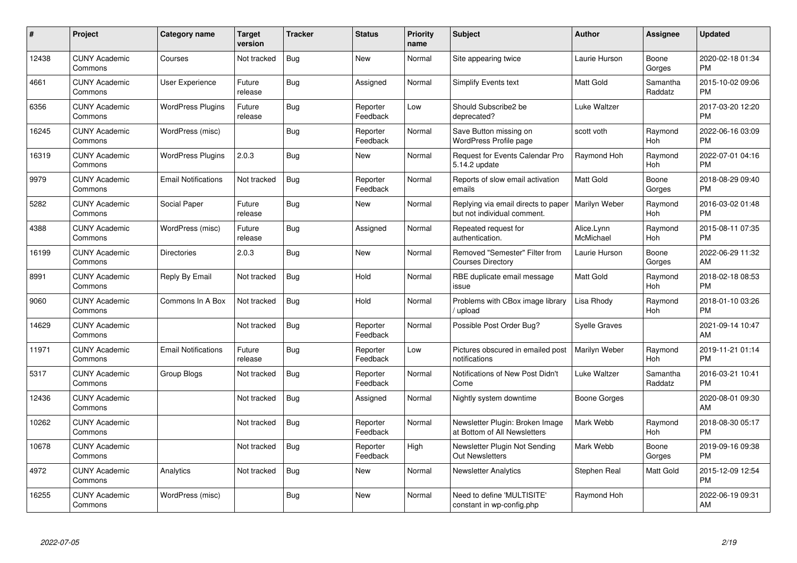| #     | Project                         | <b>Category name</b>       | <b>Target</b><br>version | <b>Tracker</b> | <b>Status</b>        | <b>Priority</b><br>name | <b>Subject</b>                                                     | <b>Author</b>           | <b>Assignee</b>     | <b>Updated</b>                |
|-------|---------------------------------|----------------------------|--------------------------|----------------|----------------------|-------------------------|--------------------------------------------------------------------|-------------------------|---------------------|-------------------------------|
| 12438 | <b>CUNY Academic</b><br>Commons | Courses                    | Not tracked              | Bug            | <b>New</b>           | Normal                  | Site appearing twice                                               | Laurie Hurson           | Boone<br>Gorges     | 2020-02-18 01:34<br><b>PM</b> |
| 4661  | <b>CUNY Academic</b><br>Commons | User Experience            | Future<br>release        | <b>Bug</b>     | Assigned             | Normal                  | Simplify Events text                                               | <b>Matt Gold</b>        | Samantha<br>Raddatz | 2015-10-02 09:06<br><b>PM</b> |
| 6356  | <b>CUNY Academic</b><br>Commons | <b>WordPress Plugins</b>   | Future<br>release        | Bug            | Reporter<br>Feedback | Low                     | Should Subscribe2 be<br>deprecated?                                | Luke Waltzer            |                     | 2017-03-20 12:20<br><b>PM</b> |
| 16245 | <b>CUNY Academic</b><br>Commons | WordPress (misc)           |                          | <b>Bug</b>     | Reporter<br>Feedback | Normal                  | Save Button missing on<br>WordPress Profile page                   | scott voth              | Raymond<br>Hoh      | 2022-06-16 03:09<br><b>PM</b> |
| 16319 | <b>CUNY Academic</b><br>Commons | <b>WordPress Plugins</b>   | 2.0.3                    | Bug            | <b>New</b>           | Normal                  | Request for Events Calendar Pro<br>5.14.2 update                   | Raymond Hoh             | Raymond<br>Hoh      | 2022-07-01 04:16<br><b>PM</b> |
| 9979  | <b>CUNY Academic</b><br>Commons | <b>Email Notifications</b> | Not tracked              | Bug            | Reporter<br>Feedback | Normal                  | Reports of slow email activation<br>emails                         | <b>Matt Gold</b>        | Boone<br>Gorges     | 2018-08-29 09:40<br><b>PM</b> |
| 5282  | <b>CUNY Academic</b><br>Commons | Social Paper               | Future<br>release        | <b>Bug</b>     | <b>New</b>           | Normal                  | Replying via email directs to paper<br>but not individual comment. | Marilyn Weber           | Raymond<br>Hoh      | 2016-03-02 01:48<br><b>PM</b> |
| 4388  | <b>CUNY Academic</b><br>Commons | WordPress (misc)           | Future<br>release        | Bug            | Assigned             | Normal                  | Repeated request for<br>authentication.                            | Alice.Lynn<br>McMichael | Raymond<br>Hoh      | 2015-08-11 07:35<br><b>PM</b> |
| 16199 | <b>CUNY Academic</b><br>Commons | Directories                | 2.0.3                    | Bug            | <b>New</b>           | Normal                  | Removed "Semester" Filter from<br><b>Courses Directory</b>         | Laurie Hurson           | Boone<br>Gorges     | 2022-06-29 11:32<br>AM        |
| 8991  | <b>CUNY Academic</b><br>Commons | Reply By Email             | Not tracked              | <b>Bug</b>     | Hold                 | Normal                  | RBE duplicate email message<br>issue                               | <b>Matt Gold</b>        | Raymond<br>Hoh      | 2018-02-18 08:53<br><b>PM</b> |
| 9060  | <b>CUNY Academic</b><br>Commons | Commons In A Box           | Not tracked              | <b>Bug</b>     | Hold                 | Normal                  | Problems with CBox image library<br>/ upload                       | Lisa Rhody              | Raymond<br>Hoh      | 2018-01-10 03:26<br><b>PM</b> |
| 14629 | <b>CUNY Academic</b><br>Commons |                            | Not tracked              | <b>Bug</b>     | Reporter<br>Feedback | Normal                  | Possible Post Order Bug?                                           | <b>Syelle Graves</b>    |                     | 2021-09-14 10:47<br>AM        |
| 11971 | <b>CUNY Academic</b><br>Commons | <b>Email Notifications</b> | Future<br>release        | Bug            | Reporter<br>Feedback | Low                     | Pictures obscured in emailed post<br>notifications                 | Marilyn Weber           | Raymond<br>Hoh      | 2019-11-21 01:14<br><b>PM</b> |
| 5317  | <b>CUNY Academic</b><br>Commons | Group Blogs                | Not tracked              | Bug            | Reporter<br>Feedback | Normal                  | Notifications of New Post Didn't<br>Come                           | Luke Waltzer            | Samantha<br>Raddatz | 2016-03-21 10:41<br><b>PM</b> |
| 12436 | <b>CUNY Academic</b><br>Commons |                            | Not tracked              | Bug            | Assigned             | Normal                  | Nightly system downtime                                            | Boone Gorges            |                     | 2020-08-01 09:30<br>AM        |
| 10262 | <b>CUNY Academic</b><br>Commons |                            | Not tracked              | <b>Bug</b>     | Reporter<br>Feedback | Normal                  | Newsletter Plugin: Broken Image<br>at Bottom of All Newsletters    | Mark Webb               | Raymond<br>Hoh      | 2018-08-30 05:17<br><b>PM</b> |
| 10678 | <b>CUNY Academic</b><br>Commons |                            | Not tracked              | <b>Bug</b>     | Reporter<br>Feedback | High                    | Newsletter Plugin Not Sending<br><b>Out Newsletters</b>            | Mark Webb               | Boone<br>Gorges     | 2019-09-16 09:38<br><b>PM</b> |
| 4972  | <b>CUNY Academic</b><br>Commons | Analytics                  | Not tracked              | <b>Bug</b>     | New                  | Normal                  | <b>Newsletter Analytics</b>                                        | Stephen Real            | Matt Gold           | 2015-12-09 12:54<br><b>PM</b> |
| 16255 | <b>CUNY Academic</b><br>Commons | WordPress (misc)           |                          | <b>Bug</b>     | New                  | Normal                  | Need to define 'MULTISITE'<br>constant in wp-config.php            | Raymond Hoh             |                     | 2022-06-19 09:31<br>AM        |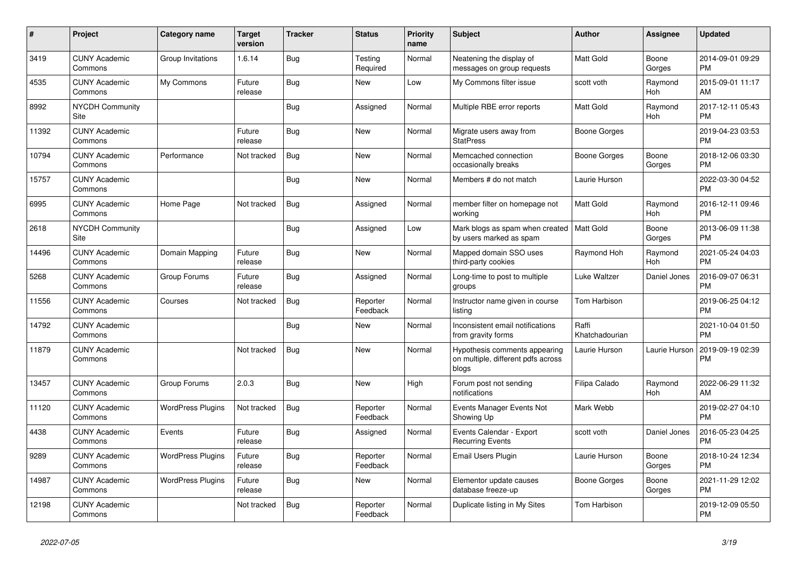| $\vert$ # | <b>Project</b>                  | Category name            | <b>Target</b><br>version | <b>Tracker</b> | <b>Status</b>        | <b>Priority</b><br>name | <b>Subject</b>                                                               | <b>Author</b>           | Assignee        | <b>Updated</b>                |
|-----------|---------------------------------|--------------------------|--------------------------|----------------|----------------------|-------------------------|------------------------------------------------------------------------------|-------------------------|-----------------|-------------------------------|
| 3419      | <b>CUNY Academic</b><br>Commons | Group Invitations        | 1.6.14                   | Bug            | Testing<br>Required  | Normal                  | Neatening the display of<br>messages on group requests                       | <b>Matt Gold</b>        | Boone<br>Gorges | 2014-09-01 09:29<br><b>PM</b> |
| 4535      | <b>CUNY Academic</b><br>Commons | My Commons               | Future<br>release        | Bug            | <b>New</b>           | Low                     | My Commons filter issue                                                      | scott voth              | Raymond<br>Hoh  | 2015-09-01 11:17<br>AM        |
| 8992      | <b>NYCDH Community</b><br>Site  |                          |                          | Bug            | Assigned             | Normal                  | Multiple RBE error reports                                                   | <b>Matt Gold</b>        | Raymond<br>Hoh  | 2017-12-11 05:43<br><b>PM</b> |
| 11392     | <b>CUNY Academic</b><br>Commons |                          | Future<br>release        | Bug            | <b>New</b>           | Normal                  | Migrate users away from<br><b>StatPress</b>                                  | Boone Gorges            |                 | 2019-04-23 03:53<br><b>PM</b> |
| 10794     | <b>CUNY Academic</b><br>Commons | Performance              | Not tracked              | Bug            | <b>New</b>           | Normal                  | Memcached connection<br>occasionally breaks                                  | Boone Gorges            | Boone<br>Gorges | 2018-12-06 03:30<br><b>PM</b> |
| 15757     | <b>CUNY Academic</b><br>Commons |                          |                          | <b>Bug</b>     | <b>New</b>           | Normal                  | Members # do not match                                                       | Laurie Hurson           |                 | 2022-03-30 04:52<br><b>PM</b> |
| 6995      | <b>CUNY Academic</b><br>Commons | Home Page                | Not tracked              | <b>Bug</b>     | Assigned             | Normal                  | member filter on homepage not<br>working                                     | Matt Gold               | Raymond<br>Hoh  | 2016-12-11 09:46<br><b>PM</b> |
| 2618      | <b>NYCDH Community</b><br>Site  |                          |                          | Bug            | Assigned             | Low                     | Mark blogs as spam when created<br>by users marked as spam                   | Matt Gold               | Boone<br>Gorges | 2013-06-09 11:38<br><b>PM</b> |
| 14496     | <b>CUNY Academic</b><br>Commons | Domain Mapping           | Future<br>release        | Bug            | <b>New</b>           | Normal                  | Mapped domain SSO uses<br>third-party cookies                                | Raymond Hoh             | Raymond<br>Hoh  | 2021-05-24 04:03<br><b>PM</b> |
| 5268      | <b>CUNY Academic</b><br>Commons | Group Forums             | Future<br>release        | Bug            | Assigned             | Normal                  | Long-time to post to multiple<br>groups                                      | Luke Waltzer            | Daniel Jones    | 2016-09-07 06:31<br><b>PM</b> |
| 11556     | <b>CUNY Academic</b><br>Commons | Courses                  | Not tracked              | <b>Bug</b>     | Reporter<br>Feedback | Normal                  | Instructor name given in course<br>listing                                   | Tom Harbison            |                 | 2019-06-25 04:12<br><b>PM</b> |
| 14792     | <b>CUNY Academic</b><br>Commons |                          |                          | <b>Bug</b>     | <b>New</b>           | Normal                  | Inconsistent email notifications<br>from gravity forms                       | Raffi<br>Khatchadourian |                 | 2021-10-04 01:50<br><b>PM</b> |
| 11879     | <b>CUNY Academic</b><br>Commons |                          | Not tracked              | <b>Bug</b>     | <b>New</b>           | Normal                  | Hypothesis comments appearing<br>on multiple, different pdfs across<br>blogs | Laurie Hurson           | Laurie Hurson   | 2019-09-19 02:39<br><b>PM</b> |
| 13457     | <b>CUNY Academic</b><br>Commons | Group Forums             | 2.0.3                    | Bug            | <b>New</b>           | High                    | Forum post not sending<br>notifications                                      | Filipa Calado           | Raymond<br>Hoh  | 2022-06-29 11:32<br>AM        |
| 11120     | <b>CUNY Academic</b><br>Commons | <b>WordPress Plugins</b> | Not tracked              | Bug            | Reporter<br>Feedback | Normal                  | Events Manager Events Not<br>Showing Up                                      | Mark Webb               |                 | 2019-02-27 04:10<br><b>PM</b> |
| 4438      | <b>CUNY Academic</b><br>Commons | Events                   | Future<br>release        | Bug            | Assigned             | Normal                  | Events Calendar - Export<br><b>Recurring Events</b>                          | scott voth              | Daniel Jones    | 2016-05-23 04:25<br><b>PM</b> |
| 9289      | <b>CUNY Academic</b><br>Commons | <b>WordPress Plugins</b> | Future<br>release        | Bug            | Reporter<br>Feedback | Normal                  | Email Users Plugin                                                           | Laurie Hurson           | Boone<br>Gorges | 2018-10-24 12:34<br><b>PM</b> |
| 14987     | <b>CUNY Academic</b><br>Commons | <b>WordPress Plugins</b> | Future<br>release        | <b>Bug</b>     | New                  | Normal                  | Elementor update causes<br>database freeze-up                                | Boone Gorges            | Boone<br>Gorges | 2021-11-29 12:02<br><b>PM</b> |
| 12198     | <b>CUNY Academic</b><br>Commons |                          | Not tracked              | Bug            | Reporter<br>Feedback | Normal                  | Duplicate listing in My Sites                                                | <b>Tom Harbison</b>     |                 | 2019-12-09 05:50<br><b>PM</b> |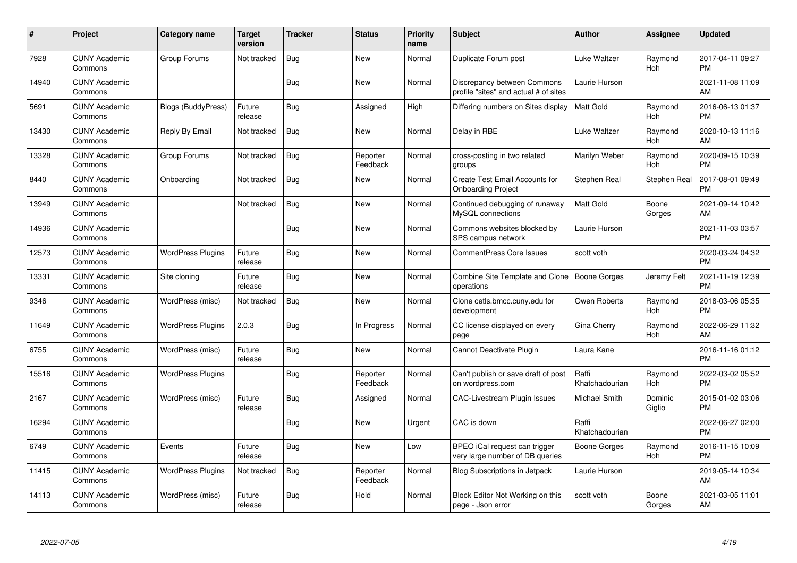| #     | Project                         | <b>Category name</b>     | Target<br>version | <b>Tracker</b> | <b>Status</b>        | Priority<br>name | <b>Subject</b>                                                       | <b>Author</b>           | Assignee            | <b>Updated</b>                |
|-------|---------------------------------|--------------------------|-------------------|----------------|----------------------|------------------|----------------------------------------------------------------------|-------------------------|---------------------|-------------------------------|
| 7928  | <b>CUNY Academic</b><br>Commons | Group Forums             | Not tracked       | Bug            | <b>New</b>           | Normal           | Duplicate Forum post                                                 | Luke Waltzer            | Raymond<br>Hoh      | 2017-04-11 09:27<br><b>PM</b> |
| 14940 | <b>CUNY Academic</b><br>Commons |                          |                   | Bug            | <b>New</b>           | Normal           | Discrepancy between Commons<br>profile "sites" and actual # of sites | Laurie Hurson           |                     | 2021-11-08 11:09<br>AM        |
| 5691  | <b>CUNY Academic</b><br>Commons | Blogs (BuddyPress)       | Future<br>release | <b>Bug</b>     | Assigned             | High             | Differing numbers on Sites display                                   | <b>Matt Gold</b>        | Raymond<br>Hoh      | 2016-06-13 01:37<br><b>PM</b> |
| 13430 | <b>CUNY Academic</b><br>Commons | Reply By Email           | Not tracked       | Bug            | <b>New</b>           | Normal           | Delay in RBE                                                         | Luke Waltzer            | Raymond<br>Hoh      | 2020-10-13 11:16<br>AM        |
| 13328 | <b>CUNY Academic</b><br>Commons | Group Forums             | Not tracked       | <b>Bug</b>     | Reporter<br>Feedback | Normal           | cross-posting in two related<br>groups                               | Marilyn Weber           | Raymond<br>Hoh      | 2020-09-15 10:39<br><b>PM</b> |
| 8440  | <b>CUNY Academic</b><br>Commons | Onboarding               | Not tracked       | <b>Bug</b>     | <b>New</b>           | Normal           | Create Test Email Accounts for<br><b>Onboarding Project</b>          | Stephen Real            | <b>Stephen Real</b> | 2017-08-01 09:49<br><b>PM</b> |
| 13949 | <b>CUNY Academic</b><br>Commons |                          | Not tracked       | Bug            | <b>New</b>           | Normal           | Continued debugging of runaway<br>MySQL connections                  | Matt Gold               | Boone<br>Gorges     | 2021-09-14 10:42<br>AM        |
| 14936 | <b>CUNY Academic</b><br>Commons |                          |                   | Bug            | <b>New</b>           | Normal           | Commons websites blocked by<br>SPS campus network                    | Laurie Hurson           |                     | 2021-11-03 03:57<br><b>PM</b> |
| 12573 | <b>CUNY Academic</b><br>Commons | <b>WordPress Plugins</b> | Future<br>release | Bug            | <b>New</b>           | Normal           | <b>CommentPress Core Issues</b>                                      | scott voth              |                     | 2020-03-24 04:32<br><b>PM</b> |
| 13331 | <b>CUNY Academic</b><br>Commons | Site cloning             | Future<br>release | Bug            | <b>New</b>           | Normal           | Combine Site Template and Clone<br>operations                        | <b>Boone Gorges</b>     | Jeremy Felt         | 2021-11-19 12:39<br><b>PM</b> |
| 9346  | <b>CUNY Academic</b><br>Commons | WordPress (misc)         | Not tracked       | <b>Bug</b>     | <b>New</b>           | Normal           | Clone cetls.bmcc.cuny.edu for<br>development                         | Owen Roberts            | Raymond<br>Hoh      | 2018-03-06 05:35<br><b>PM</b> |
| 11649 | <b>CUNY Academic</b><br>Commons | <b>WordPress Plugins</b> | 2.0.3             | Bug            | In Progress          | Normal           | CC license displayed on every<br>page                                | Gina Cherry             | Raymond<br>Hoh      | 2022-06-29 11:32<br>AM        |
| 6755  | <b>CUNY Academic</b><br>Commons | WordPress (misc)         | Future<br>release | <b>Bug</b>     | New                  | Normal           | Cannot Deactivate Plugin                                             | Laura Kane              |                     | 2016-11-16 01:12<br><b>PM</b> |
| 15516 | <b>CUNY Academic</b><br>Commons | <b>WordPress Plugins</b> |                   | <b>Bug</b>     | Reporter<br>Feedback | Normal           | Can't publish or save draft of post<br>on wordpress.com              | Raffi<br>Khatchadourian | Raymond<br>Hoh      | 2022-03-02 05:52<br>PM.       |
| 2167  | <b>CUNY Academic</b><br>Commons | WordPress (misc)         | Future<br>release | Bug            | Assigned             | Normal           | CAC-Livestream Plugin Issues                                         | Michael Smith           | Dominic<br>Giglio   | 2015-01-02 03:06<br><b>PM</b> |
| 16294 | <b>CUNY Academic</b><br>Commons |                          |                   | Bug            | New                  | Urgent           | CAC is down                                                          | Raffi<br>Khatchadourian |                     | 2022-06-27 02:00<br><b>PM</b> |
| 6749  | <b>CUNY Academic</b><br>Commons | Events                   | Future<br>release | Bug            | New                  | Low              | BPEO iCal request can trigger<br>very large number of DB queries     | Boone Gorges            | Raymond<br>Hoh      | 2016-11-15 10:09<br><b>PM</b> |
| 11415 | <b>CUNY Academic</b><br>Commons | <b>WordPress Plugins</b> | Not tracked       | Bug            | Reporter<br>Feedback | Normal           | <b>Blog Subscriptions in Jetpack</b>                                 | Laurie Hurson           |                     | 2019-05-14 10:34<br>AM        |
| 14113 | <b>CUNY Academic</b><br>Commons | WordPress (misc)         | Future<br>release | Bug            | Hold                 | Normal           | Block Editor Not Working on this<br>page - Json error                | scott voth              | Boone<br>Gorges     | 2021-03-05 11:01<br>AM        |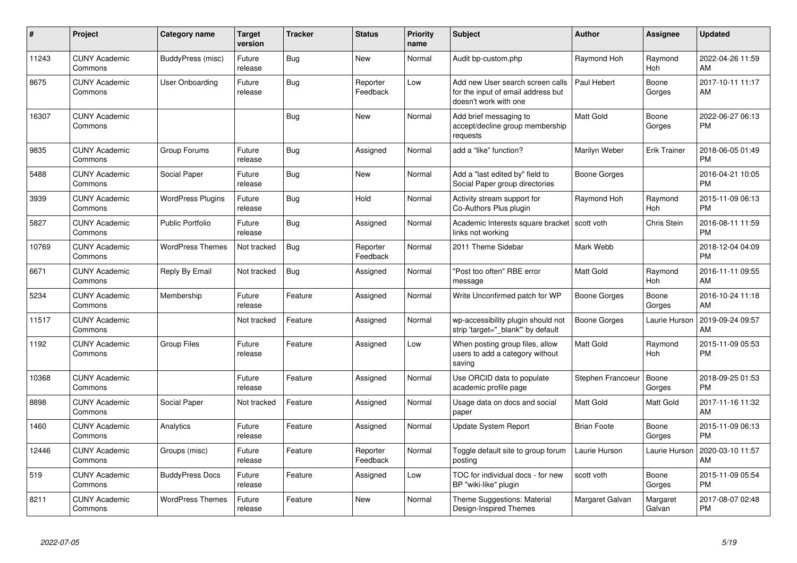| #     | Project                         | Category name            | <b>Target</b><br>version | <b>Tracker</b> | <b>Status</b>        | <b>Priority</b><br>name | <b>Subject</b>                                                                                  | <b>Author</b>      | <b>Assignee</b>     | <b>Updated</b>                |
|-------|---------------------------------|--------------------------|--------------------------|----------------|----------------------|-------------------------|-------------------------------------------------------------------------------------------------|--------------------|---------------------|-------------------------------|
| 11243 | <b>CUNY Academic</b><br>Commons | <b>BuddyPress (misc)</b> | Future<br>release        | Bug            | <b>New</b>           | Normal                  | Audit bp-custom.php                                                                             | Raymond Hoh        | Raymond<br>Hoh      | 2022-04-26 11:59<br>AM        |
| 8675  | <b>CUNY Academic</b><br>Commons | User Onboarding          | Future<br>release        | Bug            | Reporter<br>Feedback | Low                     | Add new User search screen calls<br>for the input of email address but<br>doesn't work with one | Paul Hebert        | Boone<br>Gorges     | 2017-10-11 11:17<br>AM        |
| 16307 | <b>CUNY Academic</b><br>Commons |                          |                          | Bug            | <b>New</b>           | Normal                  | Add brief messaging to<br>accept/decline group membership<br>requests                           | <b>Matt Gold</b>   | Boone<br>Gorges     | 2022-06-27 06:13<br><b>PM</b> |
| 9835  | <b>CUNY Academic</b><br>Commons | Group Forums             | Future<br>release        | Bug            | Assigned             | Normal                  | add a "like" function?                                                                          | Marilyn Weber      | <b>Erik Trainer</b> | 2018-06-05 01:49<br><b>PM</b> |
| 5488  | <b>CUNY Academic</b><br>Commons | Social Paper             | Future<br>release        | <b>Bug</b>     | <b>New</b>           | Normal                  | Add a "last edited by" field to<br>Social Paper group directories                               | Boone Gorges       |                     | 2016-04-21 10:05<br><b>PM</b> |
| 3939  | <b>CUNY Academic</b><br>Commons | <b>WordPress Plugins</b> | Future<br>release        | Bug            | Hold                 | Normal                  | Activity stream support for<br>Co-Authors Plus plugin                                           | Raymond Hoh        | Raymond<br>Hoh      | 2015-11-09 06:13<br><b>PM</b> |
| 5827  | <b>CUNY Academic</b><br>Commons | <b>Public Portfolio</b>  | Future<br>release        | Bug            | Assigned             | Normal                  | Academic Interests square bracket   scott voth<br>links not working                             |                    | Chris Stein         | 2016-08-11 11:59<br><b>PM</b> |
| 10769 | <b>CUNY Academic</b><br>Commons | <b>WordPress Themes</b>  | Not tracked              | <b>Bug</b>     | Reporter<br>Feedback | Normal                  | 2011 Theme Sidebar                                                                              | Mark Webb          |                     | 2018-12-04 04:09<br><b>PM</b> |
| 6671  | <b>CUNY Academic</b><br>Commons | Reply By Email           | Not tracked              | Bug            | Assigned             | Normal                  | "Post too often" RBE error<br>message                                                           | <b>Matt Gold</b>   | Raymond<br>Hoh      | 2016-11-11 09:55<br>AM        |
| 5234  | <b>CUNY Academic</b><br>Commons | Membership               | Future<br>release        | Feature        | Assigned             | Normal                  | Write Unconfirmed patch for WP                                                                  | Boone Gorges       | Boone<br>Gorges     | 2016-10-24 11:18<br>AM        |
| 11517 | <b>CUNY Academic</b><br>Commons |                          | Not tracked              | Feature        | Assigned             | Normal                  | wp-accessibility plugin should not<br>strip 'target="_blank"' by default                        | Boone Gorges       | Laurie Hurson       | 2019-09-24 09:57<br>AM        |
| 1192  | <b>CUNY Academic</b><br>Commons | <b>Group Files</b>       | Future<br>release        | Feature        | Assigned             | Low                     | When posting group files, allow<br>users to add a category without<br>saving                    | <b>Matt Gold</b>   | Raymond<br>Hoh      | 2015-11-09 05:53<br><b>PM</b> |
| 10368 | <b>CUNY Academic</b><br>Commons |                          | Future<br>release        | Feature        | Assigned             | Normal                  | Use ORCID data to populate<br>academic profile page                                             | Stephen Francoeur  | Boone<br>Gorges     | 2018-09-25 01:53<br><b>PM</b> |
| 8898  | <b>CUNY Academic</b><br>Commons | Social Paper             | Not tracked              | Feature        | Assigned             | Normal                  | Usage data on docs and social<br>paper                                                          | <b>Matt Gold</b>   | Matt Gold           | 2017-11-16 11:32<br>AM        |
| 1460  | <b>CUNY Academic</b><br>Commons | Analytics                | Future<br>release        | Feature        | Assigned             | Normal                  | <b>Update System Report</b>                                                                     | <b>Brian Foote</b> | Boone<br>Gorges     | 2015-11-09 06:13<br><b>PM</b> |
| 12446 | <b>CUNY Academic</b><br>Commons | Groups (misc)            | Future<br>release        | Feature        | Reporter<br>Feedback | Normal                  | Toggle default site to group forum<br>posting                                                   | Laurie Hurson      | Laurie Hurson       | 2020-03-10 11:57<br>AM        |
| 519   | <b>CUNY Academic</b><br>Commons | <b>BuddyPress Docs</b>   | Future<br>release        | Feature        | Assigned             | Low                     | TOC for individual docs - for new<br>BP "wiki-like" plugin                                      | scott voth         | Boone<br>Gorges     | 2015-11-09 05:54<br><b>PM</b> |
| 8211  | <b>CUNY Academic</b><br>Commons | <b>WordPress Themes</b>  | Future<br>release        | Feature        | <b>New</b>           | Normal                  | Theme Suggestions: Material<br>Design-Inspired Themes                                           | Margaret Galvan    | Margaret<br>Galvan  | 2017-08-07 02:48<br><b>PM</b> |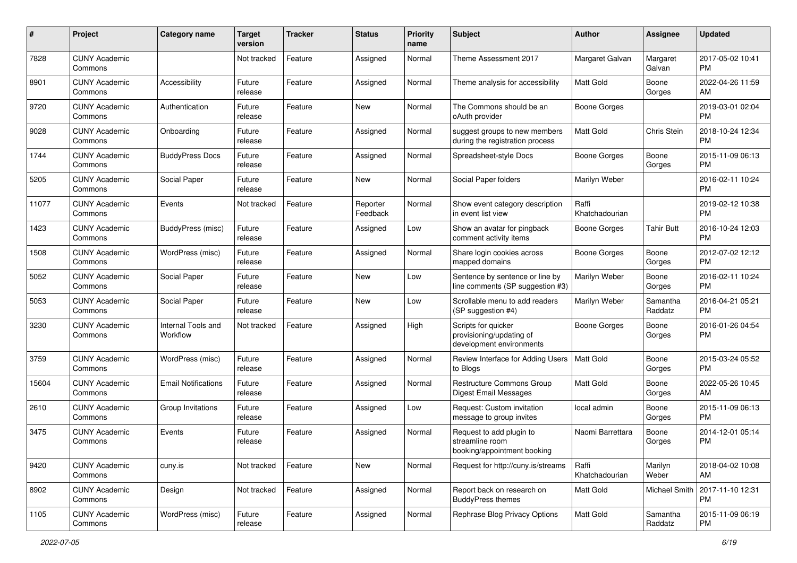| #     | Project                         | <b>Category name</b>           | <b>Target</b><br>version | <b>Tracker</b> | <b>Status</b>        | Priority<br>name | <b>Subject</b>                                                              | <b>Author</b>           | <b>Assignee</b>     | <b>Updated</b>                |
|-------|---------------------------------|--------------------------------|--------------------------|----------------|----------------------|------------------|-----------------------------------------------------------------------------|-------------------------|---------------------|-------------------------------|
| 7828  | <b>CUNY Academic</b><br>Commons |                                | Not tracked              | Feature        | Assigned             | Normal           | Theme Assessment 2017                                                       | Margaret Galvan         | Margaret<br>Galvan  | 2017-05-02 10:41<br>PM.       |
| 8901  | <b>CUNY Academic</b><br>Commons | Accessibility                  | Future<br>release        | Feature        | Assigned             | Normal           | Theme analysis for accessibility                                            | Matt Gold               | Boone<br>Gorges     | 2022-04-26 11:59<br>AM.       |
| 9720  | <b>CUNY Academic</b><br>Commons | Authentication                 | Future<br>release        | Feature        | New                  | Normal           | The Commons should be an<br>oAuth provider                                  | Boone Gorges            |                     | 2019-03-01 02:04<br><b>PM</b> |
| 9028  | <b>CUNY Academic</b><br>Commons | Onboarding                     | Future<br>release        | Feature        | Assigned             | Normal           | suggest groups to new members<br>during the registration process            | Matt Gold               | Chris Stein         | 2018-10-24 12:34<br><b>PM</b> |
| 1744  | <b>CUNY Academic</b><br>Commons | <b>BuddyPress Docs</b>         | Future<br>release        | Feature        | Assigned             | Normal           | Spreadsheet-style Docs                                                      | Boone Gorges            | Boone<br>Gorges     | 2015-11-09 06:13<br><b>PM</b> |
| 5205  | <b>CUNY Academic</b><br>Commons | Social Paper                   | Future<br>release        | Feature        | New                  | Normal           | Social Paper folders                                                        | Marilyn Weber           |                     | 2016-02-11 10:24<br><b>PM</b> |
| 11077 | <b>CUNY Academic</b><br>Commons | Events                         | Not tracked              | Feature        | Reporter<br>Feedback | Normal           | Show event category description<br>in event list view                       | Raffi<br>Khatchadourian |                     | 2019-02-12 10:38<br><b>PM</b> |
| 1423  | <b>CUNY Academic</b><br>Commons | BuddyPress (misc)              | Future<br>release        | Feature        | Assigned             | Low              | Show an avatar for pingback<br>comment activity items                       | Boone Gorges            | <b>Tahir Butt</b>   | 2016-10-24 12:03<br><b>PM</b> |
| 1508  | <b>CUNY Academic</b><br>Commons | WordPress (misc)               | Future<br>release        | Feature        | Assigned             | Normal           | Share login cookies across<br>mapped domains                                | <b>Boone Gorges</b>     | Boone<br>Gorges     | 2012-07-02 12:12<br><b>PM</b> |
| 5052  | <b>CUNY Academic</b><br>Commons | Social Paper                   | Future<br>release        | Feature        | <b>New</b>           | Low              | Sentence by sentence or line by<br>line comments (SP suggestion #3)         | Marilyn Weber           | Boone<br>Gorges     | 2016-02-11 10:24<br><b>PM</b> |
| 5053  | <b>CUNY Academic</b><br>Commons | Social Paper                   | Future<br>release        | Feature        | <b>New</b>           | Low              | Scrollable menu to add readers<br>(SP suggestion #4)                        | Marilyn Weber           | Samantha<br>Raddatz | 2016-04-21 05:21<br><b>PM</b> |
| 3230  | <b>CUNY Academic</b><br>Commons | Internal Tools and<br>Workflow | Not tracked              | Feature        | Assigned             | High             | Scripts for quicker<br>provisioning/updating of<br>development environments | Boone Gorges            | Boone<br>Gorges     | 2016-01-26 04:54<br><b>PM</b> |
| 3759  | <b>CUNY Academic</b><br>Commons | WordPress (misc)               | Future<br>release        | Feature        | Assigned             | Normal           | Review Interface for Adding Users<br>to Blogs                               | <b>Matt Gold</b>        | Boone<br>Gorges     | 2015-03-24 05:52<br><b>PM</b> |
| 15604 | <b>CUNY Academic</b><br>Commons | <b>Email Notifications</b>     | Future<br>release        | Feature        | Assigned             | Normal           | Restructure Commons Group<br>Digest Email Messages                          | Matt Gold               | Boone<br>Gorges     | 2022-05-26 10:45<br>AM.       |
| 2610  | <b>CUNY Academic</b><br>Commons | Group Invitations              | Future<br>release        | Feature        | Assigned             | Low              | Request: Custom invitation<br>message to group invites                      | local admin             | Boone<br>Gorges     | 2015-11-09 06:13<br><b>PM</b> |
| 3475  | <b>CUNY Academic</b><br>Commons | Events                         | Future<br>release        | Feature        | Assigned             | Normal           | Request to add plugin to<br>streamline room<br>booking/appointment booking  | Naomi Barrettara        | Boone<br>Gorges     | 2014-12-01 05:14<br><b>PM</b> |
| 9420  | <b>CUNY Academic</b><br>Commons | cuny.is                        | Not tracked              | Feature        | New                  | Normal           | Request for http://cuny.is/streams                                          | Raffi<br>Khatchadourian | Marilyn<br>Weber    | 2018-04-02 10:08<br>AM        |
| 8902  | <b>CUNY Academic</b><br>Commons | Design                         | Not tracked              | Feature        | Assigned             | Normal           | Report back on research on<br><b>BuddyPress themes</b>                      | Matt Gold               | Michael Smith       | 2017-11-10 12:31<br><b>PM</b> |
| 1105  | <b>CUNY Academic</b><br>Commons | WordPress (misc)               | Future<br>release        | Feature        | Assigned             | Normal           | Rephrase Blog Privacy Options                                               | Matt Gold               | Samantha<br>Raddatz | 2015-11-09 06:19<br><b>PM</b> |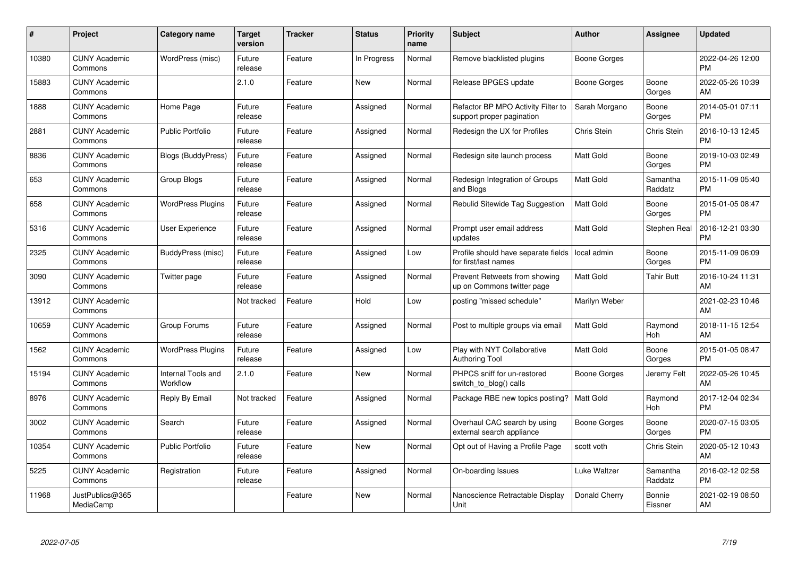| #     | Project                         | <b>Category name</b>           | <b>Target</b><br>version | <b>Tracker</b> | <b>Status</b> | <b>Priority</b><br>name | <b>Subject</b>                                                  | <b>Author</b>    | Assignee            | <b>Updated</b>                |
|-------|---------------------------------|--------------------------------|--------------------------|----------------|---------------|-------------------------|-----------------------------------------------------------------|------------------|---------------------|-------------------------------|
| 10380 | <b>CUNY Academic</b><br>Commons | WordPress (misc)               | Future<br>release        | Feature        | In Progress   | Normal                  | Remove blacklisted plugins                                      | Boone Gorges     |                     | 2022-04-26 12:00<br><b>PM</b> |
| 15883 | <b>CUNY Academic</b><br>Commons |                                | 2.1.0                    | Feature        | New           | Normal                  | Release BPGES update                                            | Boone Gorges     | Boone<br>Gorges     | 2022-05-26 10:39<br>AM.       |
| 1888  | <b>CUNY Academic</b><br>Commons | Home Page                      | Future<br>release        | Feature        | Assigned      | Normal                  | Refactor BP MPO Activity Filter to<br>support proper pagination | Sarah Morgano    | Boone<br>Gorges     | 2014-05-01 07:11<br><b>PM</b> |
| 2881  | <b>CUNY Academic</b><br>Commons | <b>Public Portfolio</b>        | Future<br>release        | Feature        | Assigned      | Normal                  | Redesign the UX for Profiles                                    | Chris Stein      | <b>Chris Stein</b>  | 2016-10-13 12:45<br><b>PM</b> |
| 8836  | <b>CUNY Academic</b><br>Commons | <b>Blogs (BuddyPress)</b>      | Future<br>release        | Feature        | Assigned      | Normal                  | Redesign site launch process                                    | <b>Matt Gold</b> | Boone<br>Gorges     | 2019-10-03 02:49<br><b>PM</b> |
| 653   | <b>CUNY Academic</b><br>Commons | Group Blogs                    | Future<br>release        | Feature        | Assigned      | Normal                  | Redesign Integration of Groups<br>and Blogs                     | <b>Matt Gold</b> | Samantha<br>Raddatz | 2015-11-09 05:40<br><b>PM</b> |
| 658   | <b>CUNY Academic</b><br>Commons | <b>WordPress Plugins</b>       | Future<br>release        | Feature        | Assigned      | Normal                  | Rebulid Sitewide Tag Suggestion                                 | Matt Gold        | Boone<br>Gorges     | 2015-01-05 08:47<br><b>PM</b> |
| 5316  | <b>CUNY Academic</b><br>Commons | <b>User Experience</b>         | Future<br>release        | Feature        | Assigned      | Normal                  | Prompt user email address<br>updates                            | Matt Gold        | Stephen Real        | 2016-12-21 03:30<br>PM        |
| 2325  | <b>CUNY Academic</b><br>Commons | BuddyPress (misc)              | Future<br>release        | Feature        | Assigned      | Low                     | Profile should have separate fields<br>for first/last names     | local admin      | Boone<br>Gorges     | 2015-11-09 06:09<br><b>PM</b> |
| 3090  | <b>CUNY Academic</b><br>Commons | Twitter page                   | Future<br>release        | Feature        | Assigned      | Normal                  | Prevent Retweets from showing<br>up on Commons twitter page     | Matt Gold        | <b>Tahir Butt</b>   | 2016-10-24 11:31<br>AM.       |
| 13912 | <b>CUNY Academic</b><br>Commons |                                | Not tracked              | Feature        | Hold          | Low                     | posting "missed schedule"                                       | Marilyn Weber    |                     | 2021-02-23 10:46<br>AM.       |
| 10659 | <b>CUNY Academic</b><br>Commons | Group Forums                   | Future<br>release        | Feature        | Assigned      | Normal                  | Post to multiple groups via email                               | Matt Gold        | Raymond<br>Hoh      | 2018-11-15 12:54<br>AM        |
| 1562  | <b>CUNY Academic</b><br>Commons | <b>WordPress Plugins</b>       | Future<br>release        | Feature        | Assigned      | Low                     | Play with NYT Collaborative<br>Authoring Tool                   | Matt Gold        | Boone<br>Gorges     | 2015-01-05 08:47<br><b>PM</b> |
| 15194 | <b>CUNY Academic</b><br>Commons | Internal Tools and<br>Workflow | 2.1.0                    | Feature        | New           | Normal                  | PHPCS sniff for un-restored<br>switch_to_blog() calls           | Boone Gorges     | Jeremy Felt         | 2022-05-26 10:45<br><b>AM</b> |
| 8976  | <b>CUNY Academic</b><br>Commons | Reply By Email                 | Not tracked              | Feature        | Assigned      | Normal                  | Package RBE new topics posting?                                 | Matt Gold        | Raymond<br>Hoh      | 2017-12-04 02:34<br><b>PM</b> |
| 3002  | <b>CUNY Academic</b><br>Commons | Search                         | Future<br>release        | Feature        | Assigned      | Normal                  | Overhaul CAC search by using<br>external search appliance       | Boone Gorges     | Boone<br>Gorges     | 2020-07-15 03:05<br><b>PM</b> |
| 10354 | <b>CUNY Academic</b><br>Commons | <b>Public Portfolio</b>        | Future<br>release        | Feature        | New           | Normal                  | Opt out of Having a Profile Page                                | scott voth       | <b>Chris Stein</b>  | 2020-05-12 10:43<br><b>AM</b> |
| 5225  | <b>CUNY Academic</b><br>Commons | Registration                   | Future<br>release        | Feature        | Assigned      | Normal                  | On-boarding Issues                                              | Luke Waltzer     | Samantha<br>Raddatz | 2016-02-12 02:58<br><b>PM</b> |
| 11968 | JustPublics@365<br>MediaCamp    |                                |                          | Feature        | <b>New</b>    | Normal                  | Nanoscience Retractable Display<br>Unit                         | Donald Cherry    | Bonnie<br>Eissner   | 2021-02-19 08:50<br>AM        |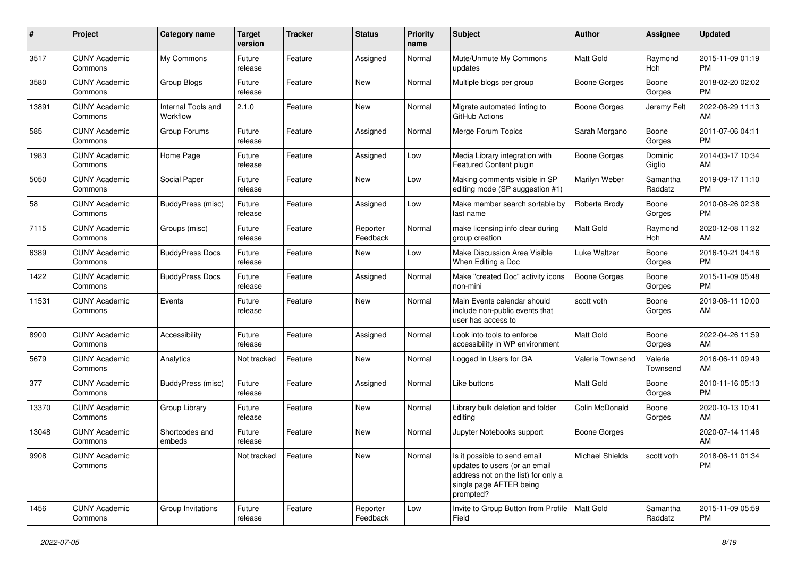| #     | Project                         | <b>Category name</b>           | <b>Target</b><br>version | <b>Tracker</b> | <b>Status</b>        | Priority<br>name | <b>Subject</b>                                                                                                                               | <b>Author</b>       | <b>Assignee</b>     | <b>Updated</b>                |
|-------|---------------------------------|--------------------------------|--------------------------|----------------|----------------------|------------------|----------------------------------------------------------------------------------------------------------------------------------------------|---------------------|---------------------|-------------------------------|
| 3517  | <b>CUNY Academic</b><br>Commons | My Commons                     | Future<br>release        | Feature        | Assigned             | Normal           | Mute/Unmute My Commons<br>updates                                                                                                            | <b>Matt Gold</b>    | Raymond<br>Hoh      | 2015-11-09 01:19<br><b>PM</b> |
| 3580  | <b>CUNY Academic</b><br>Commons | <b>Group Blogs</b>             | Future<br>release        | Feature        | New                  | Normal           | Multiple blogs per group                                                                                                                     | <b>Boone Gorges</b> | Boone<br>Gorges     | 2018-02-20 02:02<br><b>PM</b> |
| 13891 | <b>CUNY Academic</b><br>Commons | Internal Tools and<br>Workflow | 2.1.0                    | Feature        | New                  | Normal           | Migrate automated linting to<br>GitHub Actions                                                                                               | Boone Gorges        | Jeremy Felt         | 2022-06-29 11:13<br>AM        |
| 585   | <b>CUNY Academic</b><br>Commons | Group Forums                   | Future<br>release        | Feature        | Assigned             | Normal           | Merge Forum Topics                                                                                                                           | Sarah Morgano       | Boone<br>Gorges     | 2011-07-06 04:11<br><b>PM</b> |
| 1983  | <b>CUNY Academic</b><br>Commons | Home Page                      | Future<br>release        | Feature        | Assigned             | Low              | Media Library integration with<br>Featured Content plugin                                                                                    | Boone Gorges        | Dominic<br>Giglio   | 2014-03-17 10:34<br>AM        |
| 5050  | <b>CUNY Academic</b><br>Commons | Social Paper                   | Future<br>release        | Feature        | New                  | Low              | Making comments visible in SP<br>editing mode (SP suggestion #1)                                                                             | Marilyn Weber       | Samantha<br>Raddatz | 2019-09-17 11:10<br><b>PM</b> |
| 58    | <b>CUNY Academic</b><br>Commons | BuddyPress (misc)              | Future<br>release        | Feature        | Assigned             | Low              | Make member search sortable by<br>last name                                                                                                  | Roberta Brody       | Boone<br>Gorges     | 2010-08-26 02:38<br><b>PM</b> |
| 7115  | <b>CUNY Academic</b><br>Commons | Groups (misc)                  | Future<br>release        | Feature        | Reporter<br>Feedback | Normal           | make licensing info clear during<br>group creation                                                                                           | <b>Matt Gold</b>    | Raymond<br>Hoh      | 2020-12-08 11:32<br>AM        |
| 6389  | <b>CUNY Academic</b><br>Commons | <b>BuddyPress Docs</b>         | Future<br>release        | Feature        | New                  | Low              | Make Discussion Area Visible<br>When Editing a Doc                                                                                           | Luke Waltzer        | Boone<br>Gorges     | 2016-10-21 04:16<br><b>PM</b> |
| 1422  | <b>CUNY Academic</b><br>Commons | <b>BuddyPress Docs</b>         | Future<br>release        | Feature        | Assigned             | Normal           | Make "created Doc" activity icons<br>non-mini                                                                                                | <b>Boone Gorges</b> | Boone<br>Gorges     | 2015-11-09 05:48<br><b>PM</b> |
| 11531 | <b>CUNY Academic</b><br>Commons | Events                         | Future<br>release        | Feature        | <b>New</b>           | Normal           | Main Events calendar should<br>include non-public events that<br>user has access to                                                          | scott voth          | Boone<br>Gorges     | 2019-06-11 10:00<br>AM        |
| 8900  | <b>CUNY Academic</b><br>Commons | Accessibility                  | Future<br>release        | Feature        | Assigned             | Normal           | Look into tools to enforce<br>accessibility in WP environment                                                                                | Matt Gold           | Boone<br>Gorges     | 2022-04-26 11:59<br>AM        |
| 5679  | <b>CUNY Academic</b><br>Commons | Analytics                      | Not tracked              | Feature        | <b>New</b>           | Normal           | Logged In Users for GA                                                                                                                       | Valerie Townsend    | Valerie<br>Townsend | 2016-06-11 09:49<br>AM        |
| 377   | <b>CUNY Academic</b><br>Commons | <b>BuddyPress (misc)</b>       | Future<br>release        | Feature        | Assigned             | Normal           | Like buttons                                                                                                                                 | <b>Matt Gold</b>    | Boone<br>Gorges     | 2010-11-16 05:13<br><b>PM</b> |
| 13370 | <b>CUNY Academic</b><br>Commons | Group Library                  | Future<br>release        | Feature        | New                  | Normal           | Library bulk deletion and folder<br>editing                                                                                                  | Colin McDonald      | Boone<br>Gorges     | 2020-10-13 10:41<br>AM        |
| 13048 | <b>CUNY Academic</b><br>Commons | Shortcodes and<br>embeds       | Future<br>release        | Feature        | New                  | Normal           | Jupyter Notebooks support                                                                                                                    | Boone Gorges        |                     | 2020-07-14 11:46<br>AM        |
| 9908  | <b>CUNY Academic</b><br>Commons |                                | Not tracked              | Feature        | New                  | Normal           | Is it possible to send email<br>updates to users (or an email<br>address not on the list) for only a<br>single page AFTER being<br>prompted? | Michael Shields     | scott voth          | 2018-06-11 01:34<br>PM        |
| 1456  | <b>CUNY Academic</b><br>Commons | Group Invitations              | Future<br>release        | Feature        | Reporter<br>Feedback | Low              | Invite to Group Button from Profile   Matt Gold<br>Field                                                                                     |                     | Samantha<br>Raddatz | 2015-11-09 05:59<br>PM        |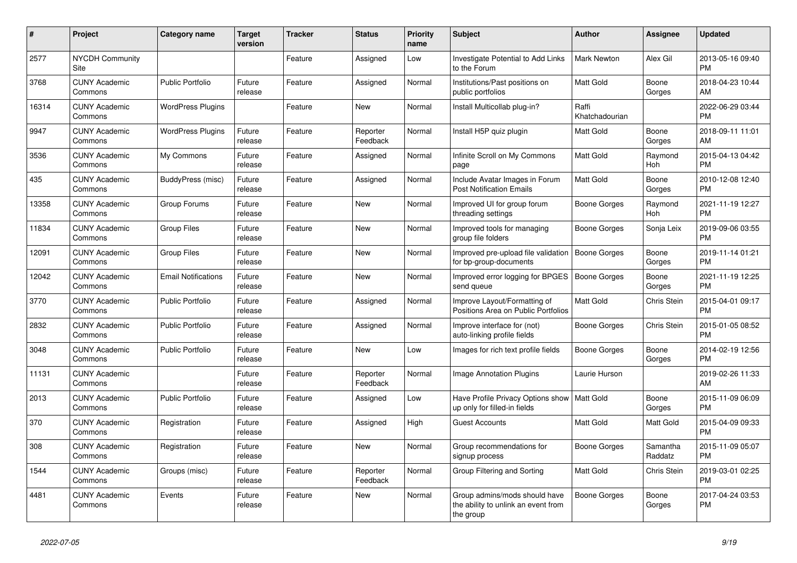| $\#$  | Project                         | <b>Category name</b>       | <b>Target</b><br>version | <b>Tracker</b> | <b>Status</b>        | Priority<br>name | <b>Subject</b>                                                                    | <b>Author</b>           | <b>Assignee</b>     | <b>Updated</b>                |
|-------|---------------------------------|----------------------------|--------------------------|----------------|----------------------|------------------|-----------------------------------------------------------------------------------|-------------------------|---------------------|-------------------------------|
| 2577  | <b>NYCDH Community</b><br>Site  |                            |                          | Feature        | Assigned             | Low              | Investigate Potential to Add Links<br>to the Forum                                | <b>Mark Newton</b>      | Alex Gil            | 2013-05-16 09:40<br><b>PM</b> |
| 3768  | <b>CUNY Academic</b><br>Commons | <b>Public Portfolio</b>    | Future<br>release        | Feature        | Assigned             | Normal           | Institutions/Past positions on<br>public portfolios                               | <b>Matt Gold</b>        | Boone<br>Gorges     | 2018-04-23 10:44<br>AM        |
| 16314 | <b>CUNY Academic</b><br>Commons | <b>WordPress Plugins</b>   |                          | Feature        | <b>New</b>           | Normal           | Install Multicollab plug-in?                                                      | Raffi<br>Khatchadourian |                     | 2022-06-29 03:44<br><b>PM</b> |
| 9947  | <b>CUNY Academic</b><br>Commons | <b>WordPress Plugins</b>   | Future<br>release        | Feature        | Reporter<br>Feedback | Normal           | Install H5P quiz plugin                                                           | Matt Gold               | Boone<br>Gorges     | 2018-09-11 11:01<br>AM        |
| 3536  | <b>CUNY Academic</b><br>Commons | My Commons                 | Future<br>release        | Feature        | Assigned             | Normal           | Infinite Scroll on My Commons<br>page                                             | Matt Gold               | Raymond<br>Hoh      | 2015-04-13 04:42<br><b>PM</b> |
| 435   | <b>CUNY Academic</b><br>Commons | BuddyPress (misc)          | Future<br>release        | Feature        | Assigned             | Normal           | Include Avatar Images in Forum<br><b>Post Notification Emails</b>                 | <b>Matt Gold</b>        | Boone<br>Gorges     | 2010-12-08 12:40<br><b>PM</b> |
| 13358 | <b>CUNY Academic</b><br>Commons | Group Forums               | Future<br>release        | Feature        | <b>New</b>           | Normal           | Improved UI for group forum<br>threading settings                                 | Boone Gorges            | Raymond<br>Hoh      | 2021-11-19 12:27<br><b>PM</b> |
| 11834 | <b>CUNY Academic</b><br>Commons | <b>Group Files</b>         | Future<br>release        | Feature        | New                  | Normal           | Improved tools for managing<br>group file folders                                 | Boone Gorges            | Sonja Leix          | 2019-09-06 03:55<br><b>PM</b> |
| 12091 | <b>CUNY Academic</b><br>Commons | <b>Group Files</b>         | Future<br>release        | Feature        | <b>New</b>           | Normal           | Improved pre-upload file validation<br>for bp-group-documents                     | <b>Boone Gorges</b>     | Boone<br>Gorges     | 2019-11-14 01:21<br><b>PM</b> |
| 12042 | <b>CUNY Academic</b><br>Commons | <b>Email Notifications</b> | Future<br>release        | Feature        | <b>New</b>           | Normal           | Improved error logging for BPGES<br>send queue                                    | Boone Gorges            | Boone<br>Gorges     | 2021-11-19 12:25<br><b>PM</b> |
| 3770  | <b>CUNY Academic</b><br>Commons | <b>Public Portfolio</b>    | Future<br>release        | Feature        | Assigned             | Normal           | Improve Layout/Formatting of<br>Positions Area on Public Portfolios               | Matt Gold               | Chris Stein         | 2015-04-01 09:17<br><b>PM</b> |
| 2832  | <b>CUNY Academic</b><br>Commons | <b>Public Portfolio</b>    | Future<br>release        | Feature        | Assigned             | Normal           | Improve interface for (not)<br>auto-linking profile fields                        | Boone Gorges            | Chris Stein         | 2015-01-05 08:52<br><b>PM</b> |
| 3048  | <b>CUNY Academic</b><br>Commons | <b>Public Portfolio</b>    | Future<br>release        | Feature        | <b>New</b>           | Low              | Images for rich text profile fields                                               | Boone Gorges            | Boone<br>Gorges     | 2014-02-19 12:56<br><b>PM</b> |
| 11131 | <b>CUNY Academic</b><br>Commons |                            | Future<br>release        | Feature        | Reporter<br>Feedback | Normal           | Image Annotation Plugins                                                          | Laurie Hurson           |                     | 2019-02-26 11:33<br>AM        |
| 2013  | <b>CUNY Academic</b><br>Commons | <b>Public Portfolio</b>    | Future<br>release        | Feature        | Assigned             | Low              | Have Profile Privacy Options show<br>up only for filled-in fields                 | <b>Matt Gold</b>        | Boone<br>Gorges     | 2015-11-09 06:09<br><b>PM</b> |
| 370   | <b>CUNY Academic</b><br>Commons | Registration               | Future<br>release        | Feature        | Assigned             | High             | <b>Guest Accounts</b>                                                             | Matt Gold               | Matt Gold           | 2015-04-09 09:33<br><b>PM</b> |
| 308   | <b>CUNY Academic</b><br>Commons | Registration               | Future<br>release        | Feature        | New                  | Normal           | Group recommendations for<br>signup process                                       | Boone Gorges            | Samantha<br>Raddatz | 2015-11-09 05:07<br><b>PM</b> |
| 1544  | <b>CUNY Academic</b><br>Commons | Groups (misc)              | Future<br>release        | Feature        | Reporter<br>Feedback | Normal           | Group Filtering and Sorting                                                       | Matt Gold               | Chris Stein         | 2019-03-01 02:25<br><b>PM</b> |
| 4481  | <b>CUNY Academic</b><br>Commons | Events                     | Future<br>release        | Feature        | New                  | Normal           | Group admins/mods should have<br>the ability to unlink an event from<br>the group | Boone Gorges            | Boone<br>Gorges     | 2017-04-24 03:53<br><b>PM</b> |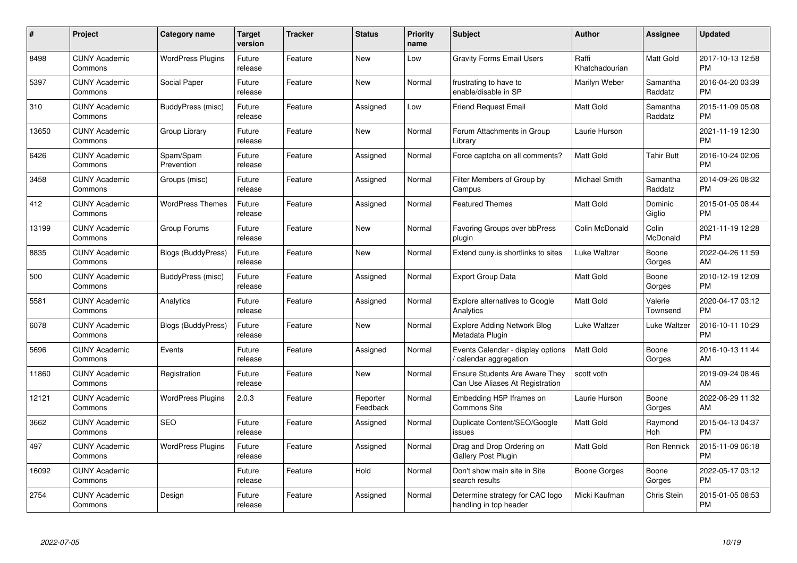| $\pmb{\#}$ | Project                         | <b>Category name</b>      | <b>Target</b><br>version | <b>Tracker</b> | <b>Status</b>        | Priority<br>name | <b>Subject</b>                                                           | <b>Author</b>           | <b>Assignee</b>     | <b>Updated</b>                |
|------------|---------------------------------|---------------------------|--------------------------|----------------|----------------------|------------------|--------------------------------------------------------------------------|-------------------------|---------------------|-------------------------------|
| 8498       | <b>CUNY Academic</b><br>Commons | <b>WordPress Plugins</b>  | Future<br>release        | Feature        | <b>New</b>           | Low              | <b>Gravity Forms Email Users</b>                                         | Raffi<br>Khatchadourian | Matt Gold           | 2017-10-13 12:58<br><b>PM</b> |
| 5397       | <b>CUNY Academic</b><br>Commons | Social Paper              | Future<br>release        | Feature        | New                  | Normal           | frustrating to have to<br>enable/disable in SP                           | Marilyn Weber           | Samantha<br>Raddatz | 2016-04-20 03:39<br><b>PM</b> |
| 310        | <b>CUNY Academic</b><br>Commons | BuddyPress (misc)         | Future<br>release        | Feature        | Assigned             | Low              | <b>Friend Request Email</b>                                              | <b>Matt Gold</b>        | Samantha<br>Raddatz | 2015-11-09 05:08<br><b>PM</b> |
| 13650      | <b>CUNY Academic</b><br>Commons | Group Library             | Future<br>release        | Feature        | <b>New</b>           | Normal           | Forum Attachments in Group<br>Library                                    | Laurie Hurson           |                     | 2021-11-19 12:30<br><b>PM</b> |
| 6426       | <b>CUNY Academic</b><br>Commons | Spam/Spam<br>Prevention   | Future<br>release        | Feature        | Assigned             | Normal           | Force captcha on all comments?                                           | <b>Matt Gold</b>        | <b>Tahir Butt</b>   | 2016-10-24 02:06<br><b>PM</b> |
| 3458       | <b>CUNY Academic</b><br>Commons | Groups (misc)             | Future<br>release        | Feature        | Assigned             | Normal           | Filter Members of Group by<br>Campus                                     | Michael Smith           | Samantha<br>Raddatz | 2014-09-26 08:32<br><b>PM</b> |
| 412        | <b>CUNY Academic</b><br>Commons | <b>WordPress Themes</b>   | Future<br>release        | Feature        | Assigned             | Normal           | <b>Featured Themes</b>                                                   | Matt Gold               | Dominic<br>Giglio   | 2015-01-05 08:44<br><b>PM</b> |
| 13199      | <b>CUNY Academic</b><br>Commons | Group Forums              | Future<br>release        | Feature        | <b>New</b>           | Normal           | Favoring Groups over bbPress<br>plugin                                   | Colin McDonald          | Colin<br>McDonald   | 2021-11-19 12:28<br><b>PM</b> |
| 8835       | <b>CUNY Academic</b><br>Commons | <b>Blogs (BuddyPress)</b> | Future<br>release        | Feature        | <b>New</b>           | Normal           | Extend cuny. is shortlinks to sites                                      | Luke Waltzer            | Boone<br>Gorges     | 2022-04-26 11:59<br>AM        |
| 500        | <b>CUNY Academic</b><br>Commons | BuddyPress (misc)         | Future<br>release        | Feature        | Assigned             | Normal           | <b>Export Group Data</b>                                                 | <b>Matt Gold</b>        | Boone<br>Gorges     | 2010-12-19 12:09<br><b>PM</b> |
| 5581       | <b>CUNY Academic</b><br>Commons | Analytics                 | Future<br>release        | Feature        | Assigned             | Normal           | Explore alternatives to Google<br>Analytics                              | Matt Gold               | Valerie<br>Townsend | 2020-04-17 03:12<br><b>PM</b> |
| 6078       | <b>CUNY Academic</b><br>Commons | <b>Blogs (BuddyPress)</b> | Future<br>release        | Feature        | <b>New</b>           | Normal           | Explore Adding Network Blog<br>Metadata Plugin                           | Luke Waltzer            | Luke Waltzer        | 2016-10-11 10:29<br><b>PM</b> |
| 5696       | <b>CUNY Academic</b><br>Commons | Events                    | Future<br>release        | Feature        | Assigned             | Normal           | Events Calendar - display options<br>/ calendar aggregation              | <b>Matt Gold</b>        | Boone<br>Gorges     | 2016-10-13 11:44<br>AM        |
| 11860      | <b>CUNY Academic</b><br>Commons | Registration              | Future<br>release        | Feature        | <b>New</b>           | Normal           | <b>Ensure Students Are Aware They</b><br>Can Use Aliases At Registration | scott voth              |                     | 2019-09-24 08:46<br>AM        |
| 12121      | <b>CUNY Academic</b><br>Commons | <b>WordPress Plugins</b>  | 2.0.3                    | Feature        | Reporter<br>Feedback | Normal           | Embedding H5P Iframes on<br><b>Commons Site</b>                          | Laurie Hurson           | Boone<br>Gorges     | 2022-06-29 11:32<br>AM        |
| 3662       | <b>CUNY Academic</b><br>Commons | <b>SEO</b>                | Future<br>release        | Feature        | Assigned             | Normal           | Duplicate Content/SEO/Google<br>issues                                   | <b>Matt Gold</b>        | Raymond<br>Hoh      | 2015-04-13 04:37<br><b>PM</b> |
| 497        | <b>CUNY Academic</b><br>Commons | <b>WordPress Plugins</b>  | Future<br>release        | Feature        | Assigned             | Normal           | Drag and Drop Ordering on<br>Gallery Post Plugin                         | <b>Matt Gold</b>        | Ron Rennick         | 2015-11-09 06:18<br><b>PM</b> |
| 16092      | <b>CUNY Academic</b><br>Commons |                           | Future<br>release        | Feature        | Hold                 | Normal           | Don't show main site in Site<br>search results                           | Boone Gorges            | Boone<br>Gorges     | 2022-05-17 03:12<br><b>PM</b> |
| 2754       | <b>CUNY Academic</b><br>Commons | Design                    | Future<br>release        | Feature        | Assigned             | Normal           | Determine strategy for CAC logo<br>handling in top header                | Micki Kaufman           | Chris Stein         | 2015-01-05 08:53<br><b>PM</b> |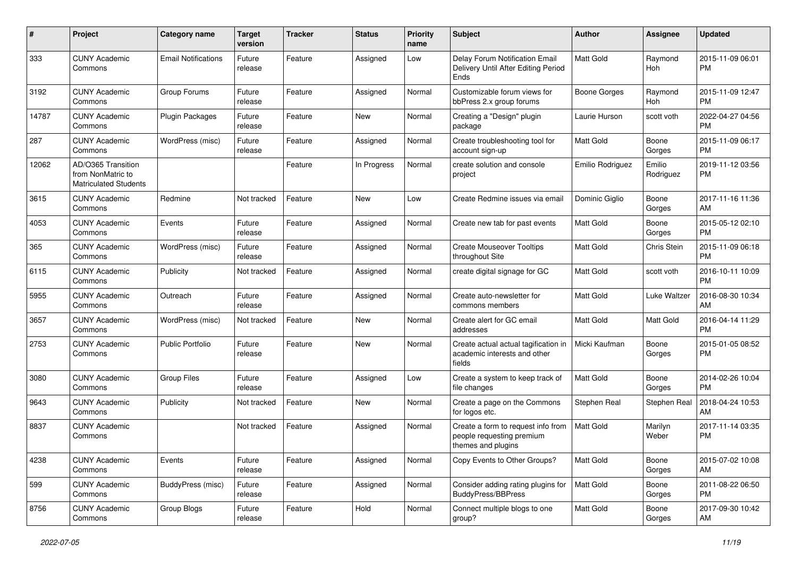| #     | Project                                                                 | <b>Category name</b>       | <b>Target</b><br>version | <b>Tracker</b> | <b>Status</b> | <b>Priority</b><br>name | <b>Subject</b>                                                                        | Author              | <b>Assignee</b>     | <b>Updated</b>                |
|-------|-------------------------------------------------------------------------|----------------------------|--------------------------|----------------|---------------|-------------------------|---------------------------------------------------------------------------------------|---------------------|---------------------|-------------------------------|
| 333   | <b>CUNY Academic</b><br>Commons                                         | <b>Email Notifications</b> | Future<br>release        | Feature        | Assigned      | Low                     | Delay Forum Notification Email<br>Delivery Until After Editing Period<br>Ends         | <b>Matt Gold</b>    | Raymond<br>Hoh      | 2015-11-09 06:01<br><b>PM</b> |
| 3192  | <b>CUNY Academic</b><br>Commons                                         | Group Forums               | Future<br>release        | Feature        | Assigned      | Normal                  | Customizable forum views for<br>bbPress 2.x group forums                              | <b>Boone Gorges</b> | Raymond<br>Hoh      | 2015-11-09 12:47<br><b>PM</b> |
| 14787 | <b>CUNY Academic</b><br>Commons                                         | <b>Plugin Packages</b>     | Future<br>release        | Feature        | New           | Normal                  | Creating a "Design" plugin<br>package                                                 | Laurie Hurson       | scott voth          | 2022-04-27 04:56<br><b>PM</b> |
| 287   | <b>CUNY Academic</b><br>Commons                                         | WordPress (misc)           | Future<br>release        | Feature        | Assigned      | Normal                  | Create troubleshooting tool for<br>account sign-up                                    | Matt Gold           | Boone<br>Gorges     | 2015-11-09 06:17<br><b>PM</b> |
| 12062 | AD/O365 Transition<br>from NonMatric to<br><b>Matriculated Students</b> |                            |                          | Feature        | In Progress   | Normal                  | create solution and console<br>project                                                | Emilio Rodriguez    | Emilio<br>Rodriguez | 2019-11-12 03:56<br><b>PM</b> |
| 3615  | <b>CUNY Academic</b><br>Commons                                         | Redmine                    | Not tracked              | Feature        | <b>New</b>    | Low                     | Create Redmine issues via email                                                       | Dominic Giglio      | Boone<br>Gorges     | 2017-11-16 11:36<br>AM        |
| 4053  | <b>CUNY Academic</b><br>Commons                                         | Events                     | Future<br>release        | Feature        | Assigned      | Normal                  | Create new tab for past events                                                        | <b>Matt Gold</b>    | Boone<br>Gorges     | 2015-05-12 02:10<br><b>PM</b> |
| 365   | <b>CUNY Academic</b><br>Commons                                         | WordPress (misc)           | Future<br>release        | Feature        | Assigned      | Normal                  | <b>Create Mouseover Tooltips</b><br>throughout Site                                   | <b>Matt Gold</b>    | Chris Stein         | 2015-11-09 06:18<br><b>PM</b> |
| 6115  | <b>CUNY Academic</b><br>Commons                                         | Publicity                  | Not tracked              | Feature        | Assigned      | Normal                  | create digital signage for GC                                                         | <b>Matt Gold</b>    | scott voth          | 2016-10-11 10:09<br><b>PM</b> |
| 5955  | <b>CUNY Academic</b><br>Commons                                         | Outreach                   | Future<br>release        | Feature        | Assigned      | Normal                  | Create auto-newsletter for<br>commons members                                         | Matt Gold           | <b>Luke Waltzer</b> | 2016-08-30 10:34<br>AM        |
| 3657  | <b>CUNY Academic</b><br>Commons                                         | WordPress (misc)           | Not tracked              | Feature        | <b>New</b>    | Normal                  | Create alert for GC email<br>addresses                                                | <b>Matt Gold</b>    | Matt Gold           | 2016-04-14 11:29<br><b>PM</b> |
| 2753  | <b>CUNY Academic</b><br>Commons                                         | <b>Public Portfolio</b>    | Future<br>release        | Feature        | <b>New</b>    | Normal                  | Create actual actual tagification in<br>academic interests and other<br>fields        | Micki Kaufman       | Boone<br>Gorges     | 2015-01-05 08:52<br><b>PM</b> |
| 3080  | <b>CUNY Academic</b><br>Commons                                         | <b>Group Files</b>         | Future<br>release        | Feature        | Assigned      | Low                     | Create a system to keep track of<br>file changes                                      | <b>Matt Gold</b>    | Boone<br>Gorges     | 2014-02-26 10:04<br><b>PM</b> |
| 9643  | <b>CUNY Academic</b><br>Commons                                         | Publicity                  | Not tracked              | Feature        | <b>New</b>    | Normal                  | Create a page on the Commons<br>for logos etc.                                        | Stephen Real        | Stephen Real        | 2018-04-24 10:53<br>AM        |
| 8837  | <b>CUNY Academic</b><br>Commons                                         |                            | Not tracked              | Feature        | Assigned      | Normal                  | Create a form to request info from<br>people requesting premium<br>themes and plugins | <b>Matt Gold</b>    | Marilyn<br>Weber    | 2017-11-14 03:35<br><b>PM</b> |
| 4238  | <b>CUNY Academic</b><br>Commons                                         | Events                     | Future<br>release        | Feature        | Assigned      | Normal                  | Copy Events to Other Groups?                                                          | Matt Gold           | Boone<br>Gorges     | 2015-07-02 10:08<br>AM        |
| 599   | <b>CUNY Academic</b><br>Commons                                         | BuddyPress (misc)          | Future<br>release        | Feature        | Assigned      | Normal                  | Consider adding rating plugins for<br>BuddyPress/BBPress                              | Matt Gold           | Boone<br>Gorges     | 2011-08-22 06:50<br><b>PM</b> |
| 8756  | <b>CUNY Academic</b><br>Commons                                         | Group Blogs                | Future<br>release        | Feature        | Hold          | Normal                  | Connect multiple blogs to one<br>group?                                               | Matt Gold           | Boone<br>Gorges     | 2017-09-30 10:42<br>AM        |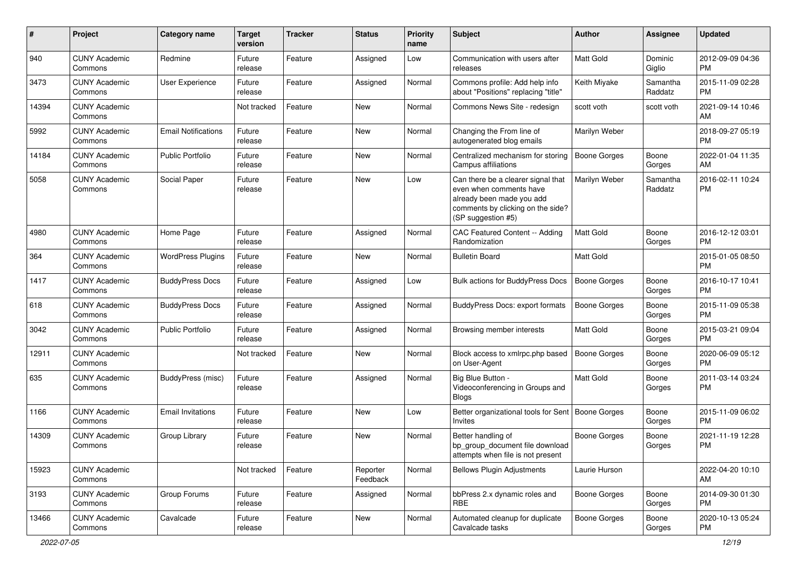| #     | Project                         | Category name              | <b>Target</b><br>version | <b>Tracker</b> | <b>Status</b>        | <b>Priority</b><br>name | Subject                                                                                                                                               | Author              | <b>Assignee</b>     | <b>Updated</b>                |
|-------|---------------------------------|----------------------------|--------------------------|----------------|----------------------|-------------------------|-------------------------------------------------------------------------------------------------------------------------------------------------------|---------------------|---------------------|-------------------------------|
| 940   | <b>CUNY Academic</b><br>Commons | Redmine                    | Future<br>release        | Feature        | Assigned             | Low                     | Communication with users after<br>releases                                                                                                            | <b>Matt Gold</b>    | Dominic<br>Giglio   | 2012-09-09 04:36<br><b>PM</b> |
| 3473  | <b>CUNY Academic</b><br>Commons | User Experience            | Future<br>release        | Feature        | Assigned             | Normal                  | Commons profile: Add help info<br>about "Positions" replacing "title"                                                                                 | Keith Miyake        | Samantha<br>Raddatz | 2015-11-09 02:28<br><b>PM</b> |
| 14394 | <b>CUNY Academic</b><br>Commons |                            | Not tracked              | Feature        | <b>New</b>           | Normal                  | Commons News Site - redesign                                                                                                                          | scott voth          | scott voth          | 2021-09-14 10:46<br>AM        |
| 5992  | <b>CUNY Academic</b><br>Commons | <b>Email Notifications</b> | Future<br>release        | Feature        | <b>New</b>           | Normal                  | Changing the From line of<br>autogenerated blog emails                                                                                                | Marilyn Weber       |                     | 2018-09-27 05:19<br><b>PM</b> |
| 14184 | <b>CUNY Academic</b><br>Commons | Public Portfolio           | Future<br>release        | Feature        | <b>New</b>           | Normal                  | Centralized mechanism for storing<br>Campus affiliations                                                                                              | <b>Boone Gorges</b> | Boone<br>Gorges     | 2022-01-04 11:35<br>AM        |
| 5058  | <b>CUNY Academic</b><br>Commons | Social Paper               | Future<br>release        | Feature        | <b>New</b>           | Low                     | Can there be a clearer signal that<br>even when comments have<br>already been made you add<br>comments by clicking on the side?<br>(SP suggestion #5) | Marilyn Weber       | Samantha<br>Raddatz | 2016-02-11 10:24<br><b>PM</b> |
| 4980  | <b>CUNY Academic</b><br>Commons | Home Page                  | Future<br>release        | Feature        | Assigned             | Normal                  | CAC Featured Content -- Adding<br>Randomization                                                                                                       | <b>Matt Gold</b>    | Boone<br>Gorges     | 2016-12-12 03:01<br><b>PM</b> |
| 364   | <b>CUNY Academic</b><br>Commons | <b>WordPress Plugins</b>   | Future<br>release        | Feature        | <b>New</b>           | Normal                  | <b>Bulletin Board</b>                                                                                                                                 | <b>Matt Gold</b>    |                     | 2015-01-05 08:50<br><b>PM</b> |
| 1417  | <b>CUNY Academic</b><br>Commons | <b>BuddyPress Docs</b>     | Future<br>release        | Feature        | Assigned             | Low                     | Bulk actions for BuddyPress Docs                                                                                                                      | <b>Boone Gorges</b> | Boone<br>Gorges     | 2016-10-17 10:41<br><b>PM</b> |
| 618   | <b>CUNY Academic</b><br>Commons | <b>BuddyPress Docs</b>     | Future<br>release        | Feature        | Assigned             | Normal                  | <b>BuddyPress Docs: export formats</b>                                                                                                                | <b>Boone Gorges</b> | Boone<br>Gorges     | 2015-11-09 05:38<br><b>PM</b> |
| 3042  | <b>CUNY Academic</b><br>Commons | <b>Public Portfolio</b>    | Future<br>release        | Feature        | Assigned             | Normal                  | Browsing member interests                                                                                                                             | <b>Matt Gold</b>    | Boone<br>Gorges     | 2015-03-21 09:04<br><b>PM</b> |
| 12911 | <b>CUNY Academic</b><br>Commons |                            | Not tracked              | Feature        | <b>New</b>           | Normal                  | Block access to xmlrpc.php based<br>on User-Agent                                                                                                     | <b>Boone Gorges</b> | Boone<br>Gorges     | 2020-06-09 05:12<br><b>PM</b> |
| 635   | <b>CUNY Academic</b><br>Commons | BuddyPress (misc)          | Future<br>release        | Feature        | Assigned             | Normal                  | Big Blue Button -<br>Videoconferencing in Groups and<br><b>Blogs</b>                                                                                  | Matt Gold           | Boone<br>Gorges     | 2011-03-14 03:24<br><b>PM</b> |
| 1166  | <b>CUNY Academic</b><br>Commons | <b>Email Invitations</b>   | Future<br>release        | Feature        | New                  | Low                     | Better organizational tools for Sent   Boone Gorges<br>Invites                                                                                        |                     | Boone<br>Gorges     | 2015-11-09 06:02<br><b>PM</b> |
| 14309 | <b>CUNY Academic</b><br>Commons | Group Library              | Future<br>release        | Feature        | <b>New</b>           | Normal                  | Better handling of<br>bp group document file download<br>attempts when file is not present                                                            | <b>Boone Gorges</b> | Boone<br>Gorges     | 2021-11-19 12:28<br><b>PM</b> |
| 15923 | <b>CUNY Academic</b><br>Commons |                            | Not tracked              | Feature        | Reporter<br>Feedback | Normal                  | <b>Bellows Plugin Adjustments</b>                                                                                                                     | Laurie Hurson       |                     | 2022-04-20 10:10<br>AM        |
| 3193  | <b>CUNY Academic</b><br>Commons | Group Forums               | Future<br>release        | Feature        | Assigned             | Normal                  | bbPress 2.x dynamic roles and<br>RBE                                                                                                                  | <b>Boone Gorges</b> | Boone<br>Gorges     | 2014-09-30 01:30<br>PM.       |
| 13466 | <b>CUNY Academic</b><br>Commons | Cavalcade                  | Future<br>release        | Feature        | New                  | Normal                  | Automated cleanup for duplicate<br>Cavalcade tasks                                                                                                    | <b>Boone Gorges</b> | Boone<br>Gorges     | 2020-10-13 05:24<br>PM        |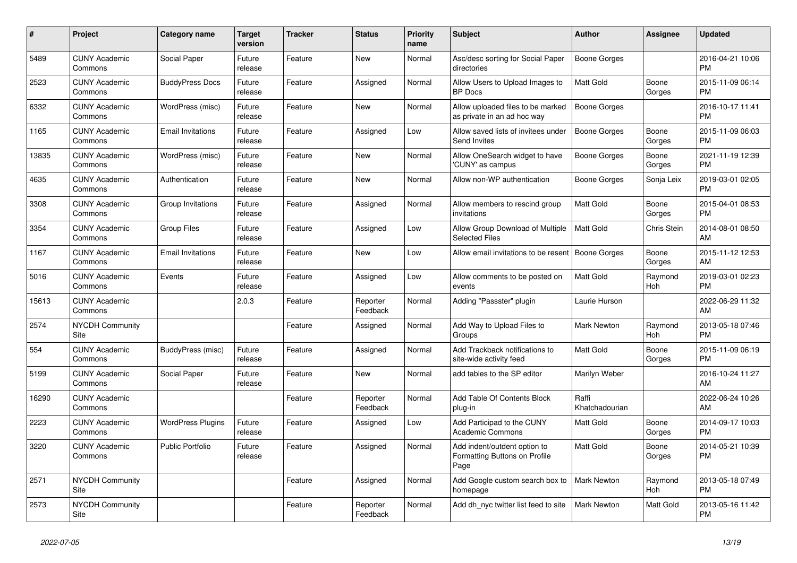| #     | <b>Project</b>                  | Category name            | Target<br>version | <b>Tracker</b> | <b>Status</b>        | Priority<br>name | <b>Subject</b>                                                        | <b>Author</b>           | Assignee        | <b>Updated</b>                |
|-------|---------------------------------|--------------------------|-------------------|----------------|----------------------|------------------|-----------------------------------------------------------------------|-------------------------|-----------------|-------------------------------|
| 5489  | <b>CUNY Academic</b><br>Commons | Social Paper             | Future<br>release | Feature        | New                  | Normal           | Asc/desc sorting for Social Paper<br>directories                      | Boone Gorges            |                 | 2016-04-21 10:06<br><b>PM</b> |
| 2523  | <b>CUNY Academic</b><br>Commons | <b>BuddyPress Docs</b>   | Future<br>release | Feature        | Assigned             | Normal           | Allow Users to Upload Images to<br><b>BP</b> Docs                     | <b>Matt Gold</b>        | Boone<br>Gorges | 2015-11-09 06:14<br><b>PM</b> |
| 6332  | <b>CUNY Academic</b><br>Commons | WordPress (misc)         | Future<br>release | Feature        | <b>New</b>           | Normal           | Allow uploaded files to be marked<br>as private in an ad hoc way      | Boone Gorges            |                 | 2016-10-17 11:41<br><b>PM</b> |
| 1165  | <b>CUNY Academic</b><br>Commons | <b>Email Invitations</b> | Future<br>release | Feature        | Assigned             | Low              | Allow saved lists of invitees under<br>Send Invites                   | <b>Boone Gorges</b>     | Boone<br>Gorges | 2015-11-09 06:03<br><b>PM</b> |
| 13835 | <b>CUNY Academic</b><br>Commons | WordPress (misc)         | Future<br>release | Feature        | New                  | Normal           | Allow OneSearch widget to have<br>'CUNY' as campus                    | Boone Gorges            | Boone<br>Gorges | 2021-11-19 12:39<br><b>PM</b> |
| 4635  | <b>CUNY Academic</b><br>Commons | Authentication           | Future<br>release | Feature        | New                  | Normal           | Allow non-WP authentication                                           | Boone Gorges            | Sonja Leix      | 2019-03-01 02:05<br><b>PM</b> |
| 3308  | <b>CUNY Academic</b><br>Commons | Group Invitations        | Future<br>release | Feature        | Assigned             | Normal           | Allow members to rescind group<br>invitations                         | Matt Gold               | Boone<br>Gorges | 2015-04-01 08:53<br><b>PM</b> |
| 3354  | <b>CUNY Academic</b><br>Commons | <b>Group Files</b>       | Future<br>release | Feature        | Assigned             | Low              | Allow Group Download of Multiple<br><b>Selected Files</b>             | Matt Gold               | Chris Stein     | 2014-08-01 08:50<br>AM        |
| 1167  | <b>CUNY Academic</b><br>Commons | <b>Email Invitations</b> | Future<br>release | Feature        | New                  | Low              | Allow email invitations to be resent                                  | <b>Boone Gorges</b>     | Boone<br>Gorges | 2015-11-12 12:53<br><b>AM</b> |
| 5016  | <b>CUNY Academic</b><br>Commons | Events                   | Future<br>release | Feature        | Assigned             | Low              | Allow comments to be posted on<br>events                              | <b>Matt Gold</b>        | Raymond<br>Hoh  | 2019-03-01 02:23<br><b>PM</b> |
| 15613 | <b>CUNY Academic</b><br>Commons |                          | 2.0.3             | Feature        | Reporter<br>Feedback | Normal           | Adding "Passster" plugin                                              | Laurie Hurson           |                 | 2022-06-29 11:32<br>AM        |
| 2574  | <b>NYCDH Community</b><br>Site  |                          |                   | Feature        | Assigned             | Normal           | Add Way to Upload Files to<br>Groups                                  | Mark Newton             | Raymond<br>Hoh  | 2013-05-18 07:46<br><b>PM</b> |
| 554   | <b>CUNY Academic</b><br>Commons | BuddyPress (misc)        | Future<br>release | Feature        | Assigned             | Normal           | Add Trackback notifications to<br>site-wide activity feed             | <b>Matt Gold</b>        | Boone<br>Gorges | 2015-11-09 06:19<br><b>PM</b> |
| 5199  | <b>CUNY Academic</b><br>Commons | Social Paper             | Future<br>release | Feature        | <b>New</b>           | Normal           | add tables to the SP editor                                           | Marilyn Weber           |                 | 2016-10-24 11:27<br>AM        |
| 16290 | <b>CUNY Academic</b><br>Commons |                          |                   | Feature        | Reporter<br>Feedback | Normal           | Add Table Of Contents Block<br>plug-in                                | Raffi<br>Khatchadourian |                 | 2022-06-24 10:26<br>AM        |
| 2223  | <b>CUNY Academic</b><br>Commons | <b>WordPress Plugins</b> | Future<br>release | Feature        | Assigned             | Low              | Add Participad to the CUNY<br><b>Academic Commons</b>                 | <b>Matt Gold</b>        | Boone<br>Gorges | 2014-09-17 10:03<br><b>PM</b> |
| 3220  | <b>CUNY Academic</b><br>Commons | Public Portfolio         | Future<br>release | Feature        | Assigned             | Normal           | Add indent/outdent option to<br>Formatting Buttons on Profile<br>Page | <b>Matt Gold</b>        | Boone<br>Gorges | 2014-05-21 10:39<br><b>PM</b> |
| 2571  | <b>NYCDH Community</b><br>Site  |                          |                   | Feature        | Assigned             | Normal           | Add Google custom search box to<br>homepage                           | <b>Mark Newton</b>      | Raymond<br>Hoh  | 2013-05-18 07:49<br><b>PM</b> |
| 2573  | <b>NYCDH Community</b><br>Site  |                          |                   | Feature        | Reporter<br>Feedback | Normal           | Add dh nyc twitter list feed to site                                  | <b>Mark Newton</b>      | Matt Gold       | 2013-05-16 11:42<br>PM        |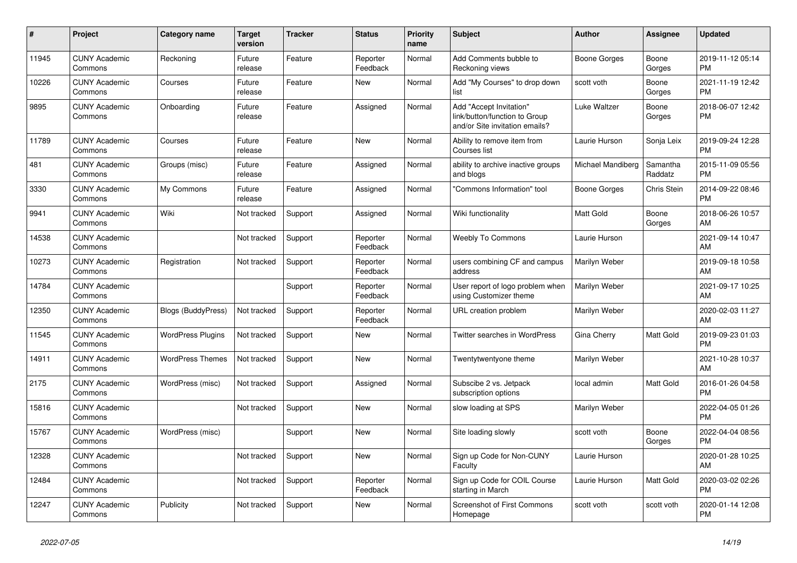| #     | <b>Project</b>                  | Category name             | <b>Target</b><br>version | <b>Tracker</b> | <b>Status</b>        | Priority<br>name | <b>Subject</b>                                                                             | <b>Author</b>     | Assignee            | <b>Updated</b>                |
|-------|---------------------------------|---------------------------|--------------------------|----------------|----------------------|------------------|--------------------------------------------------------------------------------------------|-------------------|---------------------|-------------------------------|
| 11945 | <b>CUNY Academic</b><br>Commons | Reckoning                 | Future<br>release        | Feature        | Reporter<br>Feedback | Normal           | Add Comments bubble to<br>Reckoning views                                                  | Boone Gorges      | Boone<br>Gorges     | 2019-11-12 05:14<br><b>PM</b> |
| 10226 | <b>CUNY Academic</b><br>Commons | Courses                   | Future<br>release        | Feature        | New                  | Normal           | Add "My Courses" to drop down<br>list                                                      | scott voth        | Boone<br>Gorges     | 2021-11-19 12:42<br><b>PM</b> |
| 9895  | <b>CUNY Academic</b><br>Commons | Onboarding                | Future<br>release        | Feature        | Assigned             | Normal           | Add "Accept Invitation"<br>link/button/function to Group<br>and/or Site invitation emails? | Luke Waltzer      | Boone<br>Gorges     | 2018-06-07 12:42<br><b>PM</b> |
| 11789 | <b>CUNY Academic</b><br>Commons | Courses                   | Future<br>release        | Feature        | New                  | Normal           | Ability to remove item from<br>Courses list                                                | Laurie Hurson     | Sonja Leix          | 2019-09-24 12:28<br><b>PM</b> |
| 481   | <b>CUNY Academic</b><br>Commons | Groups (misc)             | Future<br>release        | Feature        | Assigned             | Normal           | ability to archive inactive groups<br>and blogs                                            | Michael Mandiberg | Samantha<br>Raddatz | 2015-11-09 05:56<br><b>PM</b> |
| 3330  | <b>CUNY Academic</b><br>Commons | My Commons                | Future<br>release        | Feature        | Assigned             | Normal           | "Commons Information" tool                                                                 | Boone Gorges      | Chris Stein         | 2014-09-22 08:46<br><b>PM</b> |
| 9941  | <b>CUNY Academic</b><br>Commons | Wiki                      | Not tracked              | Support        | Assigned             | Normal           | Wiki functionality                                                                         | <b>Matt Gold</b>  | Boone<br>Gorges     | 2018-06-26 10:57<br>AM        |
| 14538 | <b>CUNY Academic</b><br>Commons |                           | Not tracked              | Support        | Reporter<br>Feedback | Normal           | <b>Weebly To Commons</b>                                                                   | Laurie Hurson     |                     | 2021-09-14 10:47<br>AM        |
| 10273 | <b>CUNY Academic</b><br>Commons | Registration              | Not tracked              | Support        | Reporter<br>Feedback | Normal           | users combining CF and campus<br>address                                                   | Marilyn Weber     |                     | 2019-09-18 10:58<br>AM        |
| 14784 | <b>CUNY Academic</b><br>Commons |                           |                          | Support        | Reporter<br>Feedback | Normal           | User report of logo problem when<br>using Customizer theme                                 | Marilyn Weber     |                     | 2021-09-17 10:25<br>AM        |
| 12350 | <b>CUNY Academic</b><br>Commons | <b>Blogs (BuddyPress)</b> | Not tracked              | Support        | Reporter<br>Feedback | Normal           | URL creation problem                                                                       | Marilyn Weber     |                     | 2020-02-03 11:27<br>AM        |
| 11545 | <b>CUNY Academic</b><br>Commons | <b>WordPress Plugins</b>  | Not tracked              | Support        | New                  | Normal           | <b>Twitter searches in WordPress</b>                                                       | Gina Cherry       | Matt Gold           | 2019-09-23 01:03<br><b>PM</b> |
| 14911 | <b>CUNY Academic</b><br>Commons | <b>WordPress Themes</b>   | Not tracked              | Support        | <b>New</b>           | Normal           | Twentytwentyone theme                                                                      | Marilyn Weber     |                     | 2021-10-28 10:37<br>AM        |
| 2175  | <b>CUNY Academic</b><br>Commons | WordPress (misc)          | Not tracked              | Support        | Assigned             | Normal           | Subscibe 2 vs. Jetpack<br>subscription options                                             | local admin       | Matt Gold           | 2016-01-26 04:58<br><b>PM</b> |
| 15816 | <b>CUNY Academic</b><br>Commons |                           | Not tracked              | Support        | <b>New</b>           | Normal           | slow loading at SPS                                                                        | Marilyn Weber     |                     | 2022-04-05 01:26<br><b>PM</b> |
| 15767 | <b>CUNY Academic</b><br>Commons | WordPress (misc)          |                          | Support        | New                  | Normal           | Site loading slowly                                                                        | scott voth        | Boone<br>Gorges     | 2022-04-04 08:56<br><b>PM</b> |
| 12328 | <b>CUNY Academic</b><br>Commons |                           | Not tracked              | Support        | <b>New</b>           | Normal           | Sign up Code for Non-CUNY<br>Faculty                                                       | Laurie Hurson     |                     | 2020-01-28 10:25<br>AM        |
| 12484 | <b>CUNY Academic</b><br>Commons |                           | Not tracked              | Support        | Reporter<br>Feedback | Normal           | Sign up Code for COIL Course<br>starting in March                                          | Laurie Hurson     | Matt Gold           | 2020-03-02 02:26<br><b>PM</b> |
| 12247 | <b>CUNY Academic</b><br>Commons | Publicity                 | Not tracked              | Support        | <b>New</b>           | Normal           | <b>Screenshot of First Commons</b><br>Homepage                                             | scott voth        | scott voth          | 2020-01-14 12:08<br><b>PM</b> |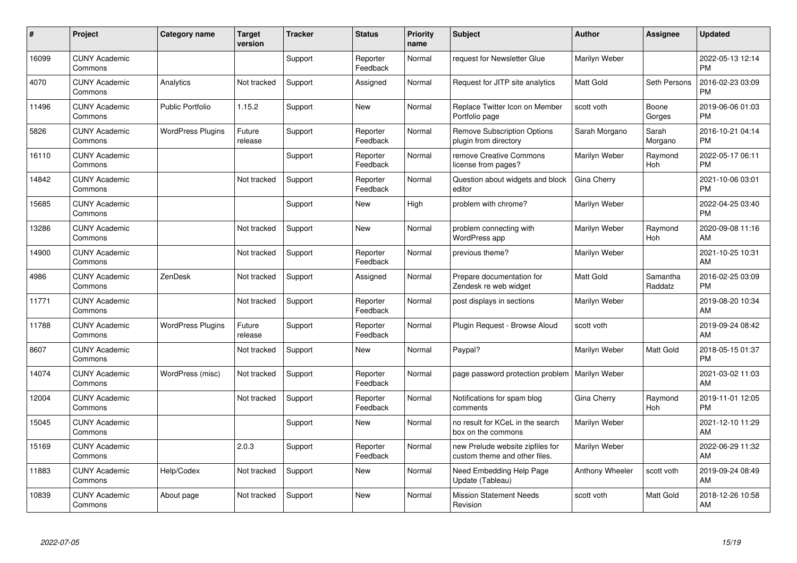| #     | Project                         | <b>Category name</b>     | <b>Target</b><br>version | <b>Tracker</b> | <b>Status</b>        | <b>Priority</b><br>name | <b>Subject</b>                                                    | <b>Author</b>    | <b>Assignee</b>     | <b>Updated</b>                |
|-------|---------------------------------|--------------------------|--------------------------|----------------|----------------------|-------------------------|-------------------------------------------------------------------|------------------|---------------------|-------------------------------|
| 16099 | <b>CUNY Academic</b><br>Commons |                          |                          | Support        | Reporter<br>Feedback | Normal                  | request for Newsletter Glue                                       | Marilyn Weber    |                     | 2022-05-13 12:14<br><b>PM</b> |
| 4070  | <b>CUNY Academic</b><br>Commons | Analytics                | Not tracked              | Support        | Assigned             | Normal                  | Request for JITP site analytics                                   | <b>Matt Gold</b> | Seth Persons        | 2016-02-23 03:09<br><b>PM</b> |
| 11496 | <b>CUNY Academic</b><br>Commons | <b>Public Portfolio</b>  | 1.15.2                   | Support        | <b>New</b>           | Normal                  | Replace Twitter Icon on Member<br>Portfolio page                  | scott voth       | Boone<br>Gorges     | 2019-06-06 01:03<br><b>PM</b> |
| 5826  | <b>CUNY Academic</b><br>Commons | <b>WordPress Plugins</b> | Future<br>release        | Support        | Reporter<br>Feedback | Normal                  | <b>Remove Subscription Options</b><br>plugin from directory       | Sarah Morgano    | Sarah<br>Morgano    | 2016-10-21 04:14<br><b>PM</b> |
| 16110 | <b>CUNY Academic</b><br>Commons |                          |                          | Support        | Reporter<br>Feedback | Normal                  | remove Creative Commons<br>license from pages?                    | Marilyn Weber    | Raymond<br>Hoh      | 2022-05-17 06:11<br><b>PM</b> |
| 14842 | <b>CUNY Academic</b><br>Commons |                          | Not tracked              | Support        | Reporter<br>Feedback | Normal                  | Question about widgets and block<br>editor                        | Gina Cherry      |                     | 2021-10-06 03:01<br><b>PM</b> |
| 15685 | <b>CUNY Academic</b><br>Commons |                          |                          | Support        | New                  | High                    | problem with chrome?                                              | Marilyn Weber    |                     | 2022-04-25 03:40<br><b>PM</b> |
| 13286 | <b>CUNY Academic</b><br>Commons |                          | Not tracked              | Support        | <b>New</b>           | Normal                  | problem connecting with<br>WordPress app                          | Marilyn Weber    | Raymond<br>Hoh      | 2020-09-08 11:16<br>AM        |
| 14900 | <b>CUNY Academic</b><br>Commons |                          | Not tracked              | Support        | Reporter<br>Feedback | Normal                  | previous theme?                                                   | Marilyn Weber    |                     | 2021-10-25 10:31<br>AM        |
| 4986  | <b>CUNY Academic</b><br>Commons | ZenDesk                  | Not tracked              | Support        | Assigned             | Normal                  | Prepare documentation for<br>Zendesk re web widget                | <b>Matt Gold</b> | Samantha<br>Raddatz | 2016-02-25 03:09<br><b>PM</b> |
| 11771 | <b>CUNY Academic</b><br>Commons |                          | Not tracked              | Support        | Reporter<br>Feedback | Normal                  | post displays in sections                                         | Marilyn Weber    |                     | 2019-08-20 10:34<br>AM        |
| 11788 | <b>CUNY Academic</b><br>Commons | <b>WordPress Plugins</b> | Future<br>release        | Support        | Reporter<br>Feedback | Normal                  | Plugin Request - Browse Aloud                                     | scott voth       |                     | 2019-09-24 08:42<br>AM        |
| 8607  | <b>CUNY Academic</b><br>Commons |                          | Not tracked              | Support        | New                  | Normal                  | Paypal?                                                           | Marilyn Weber    | Matt Gold           | 2018-05-15 01:37<br><b>PM</b> |
| 14074 | <b>CUNY Academic</b><br>Commons | WordPress (misc)         | Not tracked              | Support        | Reporter<br>Feedback | Normal                  | page password protection problem                                  | Marilyn Weber    |                     | 2021-03-02 11:03<br>AM        |
| 12004 | <b>CUNY Academic</b><br>Commons |                          | Not tracked              | Support        | Reporter<br>Feedback | Normal                  | Notifications for spam blog<br>comments                           | Gina Cherry      | Raymond<br>Hoh      | 2019-11-01 12:05<br><b>PM</b> |
| 15045 | <b>CUNY Academic</b><br>Commons |                          |                          | Support        | New                  | Normal                  | no result for KCeL in the search<br>box on the commons            | Marilyn Weber    |                     | 2021-12-10 11:29<br>AM        |
| 15169 | <b>CUNY Academic</b><br>Commons |                          | 2.0.3                    | Support        | Reporter<br>Feedback | Normal                  | new Prelude website zipfiles for<br>custom theme and other files. | Marilyn Weber    |                     | 2022-06-29 11:32<br>AM        |
| 11883 | <b>CUNY Academic</b><br>Commons | Help/Codex               | Not tracked              | Support        | New                  | Normal                  | Need Embedding Help Page<br>Update (Tableau)                      | Anthony Wheeler  | scott voth          | 2019-09-24 08:49<br>AM        |
| 10839 | <b>CUNY Academic</b><br>Commons | About page               | Not tracked              | Support        | <b>New</b>           | Normal                  | <b>Mission Statement Needs</b><br>Revision                        | scott voth       | Matt Gold           | 2018-12-26 10:58<br>AM        |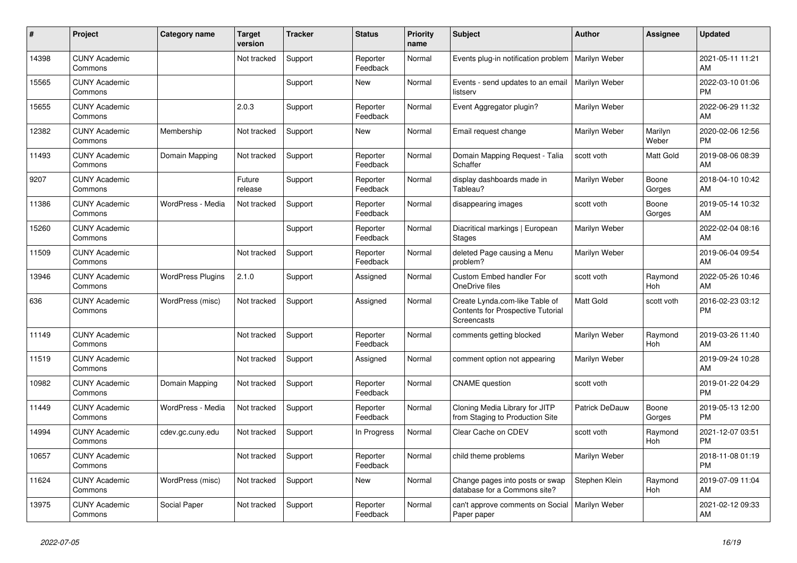| #     | Project                         | <b>Category name</b>     | <b>Target</b><br>version | <b>Tracker</b> | <b>Status</b>        | <b>Priority</b><br>name | <b>Subject</b>                                                                            | <b>Author</b>    | <b>Assignee</b>  | <b>Updated</b>                |
|-------|---------------------------------|--------------------------|--------------------------|----------------|----------------------|-------------------------|-------------------------------------------------------------------------------------------|------------------|------------------|-------------------------------|
| 14398 | <b>CUNY Academic</b><br>Commons |                          | Not tracked              | Support        | Reporter<br>Feedback | Normal                  | Events plug-in notification problem                                                       | Marilyn Weber    |                  | 2021-05-11 11:21<br>AM        |
| 15565 | <b>CUNY Academic</b><br>Commons |                          |                          | Support        | New                  | Normal                  | Events - send updates to an email<br>listserv                                             | Marilyn Weber    |                  | 2022-03-10 01:06<br><b>PM</b> |
| 15655 | <b>CUNY Academic</b><br>Commons |                          | 2.0.3                    | Support        | Reporter<br>Feedback | Normal                  | Event Aggregator plugin?                                                                  | Marilyn Weber    |                  | 2022-06-29 11:32<br>AM        |
| 12382 | <b>CUNY Academic</b><br>Commons | Membership               | Not tracked              | Support        | <b>New</b>           | Normal                  | Email request change                                                                      | Marilyn Weber    | Marilyn<br>Weber | 2020-02-06 12:56<br><b>PM</b> |
| 11493 | <b>CUNY Academic</b><br>Commons | Domain Mapping           | Not tracked              | Support        | Reporter<br>Feedback | Normal                  | Domain Mapping Request - Talia<br>Schaffer                                                | scott voth       | Matt Gold        | 2019-08-06 08:39<br>AM        |
| 9207  | <b>CUNY Academic</b><br>Commons |                          | Future<br>release        | Support        | Reporter<br>Feedback | Normal                  | display dashboards made in<br>Tableau?                                                    | Marilyn Weber    | Boone<br>Gorges  | 2018-04-10 10:42<br>AM        |
| 11386 | <b>CUNY Academic</b><br>Commons | WordPress - Media        | Not tracked              | Support        | Reporter<br>Feedback | Normal                  | disappearing images                                                                       | scott voth       | Boone<br>Gorges  | 2019-05-14 10:32<br>AM        |
| 15260 | <b>CUNY Academic</b><br>Commons |                          |                          | Support        | Reporter<br>Feedback | Normal                  | Diacritical markings   European<br><b>Stages</b>                                          | Marilyn Weber    |                  | 2022-02-04 08:16<br>AM        |
| 11509 | <b>CUNY Academic</b><br>Commons |                          | Not tracked              | Support        | Reporter<br>Feedback | Normal                  | deleted Page causing a Menu<br>problem?                                                   | Marilyn Weber    |                  | 2019-06-04 09:54<br>AM        |
| 13946 | <b>CUNY Academic</b><br>Commons | <b>WordPress Plugins</b> | 2.1.0                    | Support        | Assigned             | Normal                  | Custom Embed handler For<br>OneDrive files                                                | scott voth       | Raymond<br>Hoh   | 2022-05-26 10:46<br>AM        |
| 636   | <b>CUNY Academic</b><br>Commons | WordPress (misc)         | Not tracked              | Support        | Assigned             | Normal                  | Create Lynda.com-like Table of<br><b>Contents for Prospective Tutorial</b><br>Screencasts | <b>Matt Gold</b> | scott voth       | 2016-02-23 03:12<br><b>PM</b> |
| 11149 | <b>CUNY Academic</b><br>Commons |                          | Not tracked              | Support        | Reporter<br>Feedback | Normal                  | comments getting blocked                                                                  | Marilyn Weber    | Raymond<br>Hoh   | 2019-03-26 11:40<br>AM        |
| 11519 | <b>CUNY Academic</b><br>Commons |                          | Not tracked              | Support        | Assigned             | Normal                  | comment option not appearing                                                              | Marilyn Weber    |                  | 2019-09-24 10:28<br>AM        |
| 10982 | <b>CUNY Academic</b><br>Commons | Domain Mapping           | Not tracked              | Support        | Reporter<br>Feedback | Normal                  | <b>CNAME</b> question                                                                     | scott voth       |                  | 2019-01-22 04:29<br><b>PM</b> |
| 11449 | <b>CUNY Academic</b><br>Commons | WordPress - Media        | Not tracked              | Support        | Reporter<br>Feedback | Normal                  | Cloning Media Library for JITP<br>from Staging to Production Site                         | Patrick DeDauw   | Boone<br>Gorges  | 2019-05-13 12:00<br><b>PM</b> |
| 14994 | <b>CUNY Academic</b><br>Commons | cdev.gc.cuny.edu         | Not tracked              | Support        | In Progress          | Normal                  | Clear Cache on CDEV                                                                       | scott voth       | Raymond<br>Hoh   | 2021-12-07 03:51<br><b>PM</b> |
| 10657 | <b>CUNY Academic</b><br>Commons |                          | Not tracked              | Support        | Reporter<br>Feedback | Normal                  | child theme problems                                                                      | Marilyn Weber    |                  | 2018-11-08 01:19<br><b>PM</b> |
| 11624 | <b>CUNY Academic</b><br>Commons | WordPress (misc)         | Not tracked              | Support        | New                  | Normal                  | Change pages into posts or swap<br>database for a Commons site?                           | Stephen Klein    | Raymond<br>Hoh   | 2019-07-09 11:04<br>AM        |
| 13975 | <b>CUNY Academic</b><br>Commons | Social Paper             | Not tracked              | Support        | Reporter<br>Feedback | Normal                  | can't approve comments on Social<br>Paper paper                                           | Marilyn Weber    |                  | 2021-02-12 09:33<br>AM        |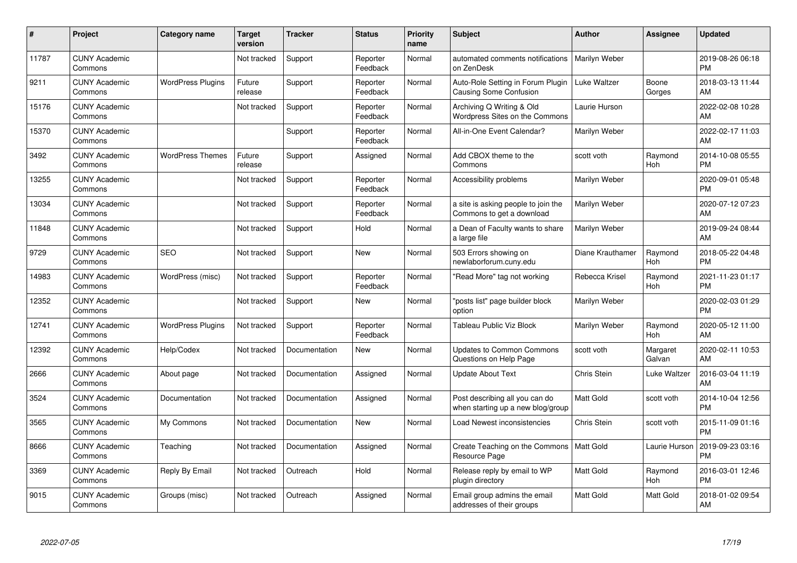| #     | Project                         | <b>Category name</b>     | <b>Target</b><br>version | <b>Tracker</b> | <b>Status</b>        | <b>Priority</b><br>name | <b>Subject</b>                                                      | <b>Author</b>    | <b>Assignee</b>    | <b>Updated</b>                |
|-------|---------------------------------|--------------------------|--------------------------|----------------|----------------------|-------------------------|---------------------------------------------------------------------|------------------|--------------------|-------------------------------|
| 11787 | <b>CUNY Academic</b><br>Commons |                          | Not tracked              | Support        | Reporter<br>Feedback | Normal                  | automated comments notifications<br>on ZenDesk                      | Marilyn Weber    |                    | 2019-08-26 06:18<br><b>PM</b> |
| 9211  | <b>CUNY Academic</b><br>Commons | <b>WordPress Plugins</b> | Future<br>release        | Support        | Reporter<br>Feedback | Normal                  | Auto-Role Setting in Forum Plugin<br>Causing Some Confusion         | Luke Waltzer     | Boone<br>Gorges    | 2018-03-13 11:44<br>AM        |
| 15176 | <b>CUNY Academic</b><br>Commons |                          | Not tracked              | Support        | Reporter<br>Feedback | Normal                  | Archiving Q Writing & Old<br>Wordpress Sites on the Commons         | Laurie Hurson    |                    | 2022-02-08 10:28<br>AM        |
| 15370 | <b>CUNY Academic</b><br>Commons |                          |                          | Support        | Reporter<br>Feedback | Normal                  | All-in-One Event Calendar?                                          | Marilyn Weber    |                    | 2022-02-17 11:03<br>AM        |
| 3492  | <b>CUNY Academic</b><br>Commons | <b>WordPress Themes</b>  | Future<br>release        | Support        | Assigned             | Normal                  | Add CBOX theme to the<br>Commons                                    | scott voth       | Raymond<br>Hoh     | 2014-10-08 05:55<br><b>PM</b> |
| 13255 | <b>CUNY Academic</b><br>Commons |                          | Not tracked              | Support        | Reporter<br>Feedback | Normal                  | Accessibility problems                                              | Marilyn Weber    |                    | 2020-09-01 05:48<br><b>PM</b> |
| 13034 | <b>CUNY Academic</b><br>Commons |                          | Not tracked              | Support        | Reporter<br>Feedback | Normal                  | a site is asking people to join the<br>Commons to get a download    | Marilyn Weber    |                    | 2020-07-12 07:23<br>AM        |
| 11848 | <b>CUNY Academic</b><br>Commons |                          | Not tracked              | Support        | Hold                 | Normal                  | a Dean of Faculty wants to share<br>a large file                    | Marilyn Weber    |                    | 2019-09-24 08:44<br>AM        |
| 9729  | <b>CUNY Academic</b><br>Commons | <b>SEO</b>               | Not tracked              | Support        | <b>New</b>           | Normal                  | 503 Errors showing on<br>newlaborforum.cuny.edu                     | Diane Krauthamer | Raymond<br>Hoh     | 2018-05-22 04:48<br><b>PM</b> |
| 14983 | <b>CUNY Academic</b><br>Commons | WordPress (misc)         | Not tracked              | Support        | Reporter<br>Feedback | Normal                  | 'Read More" tag not working                                         | Rebecca Krisel   | Raymond<br>Hoh     | 2021-11-23 01:17<br><b>PM</b> |
| 12352 | <b>CUNY Academic</b><br>Commons |                          | Not tracked              | Support        | <b>New</b>           | Normal                  | "posts list" page builder block<br>option                           | Marilyn Weber    |                    | 2020-02-03 01:29<br><b>PM</b> |
| 12741 | <b>CUNY Academic</b><br>Commons | <b>WordPress Plugins</b> | Not tracked              | Support        | Reporter<br>Feedback | Normal                  | Tableau Public Viz Block                                            | Marilyn Weber    | Raymond<br>Hoh     | 2020-05-12 11:00<br>AM        |
| 12392 | <b>CUNY Academic</b><br>Commons | Help/Codex               | Not tracked              | Documentation  | <b>New</b>           | Normal                  | <b>Updates to Common Commons</b><br>Questions on Help Page          | scott voth       | Margaret<br>Galvan | 2020-02-11 10:53<br>AM        |
| 2666  | <b>CUNY Academic</b><br>Commons | About page               | Not tracked              | Documentation  | Assigned             | Normal                  | <b>Update About Text</b>                                            | Chris Stein      | Luke Waltzer       | 2016-03-04 11:19<br>AM        |
| 3524  | <b>CUNY Academic</b><br>Commons | Documentation            | Not tracked              | Documentation  | Assigned             | Normal                  | Post describing all you can do<br>when starting up a new blog/group | <b>Matt Gold</b> | scott voth         | 2014-10-04 12:56<br><b>PM</b> |
| 3565  | <b>CUNY Academic</b><br>Commons | My Commons               | Not tracked              | Documentation  | <b>New</b>           | Normal                  | Load Newest inconsistencies                                         | Chris Stein      | scott voth         | 2015-11-09 01:16<br><b>PM</b> |
| 8666  | <b>CUNY Academic</b><br>Commons | Teaching                 | Not tracked              | Documentation  | Assigned             | Normal                  | Create Teaching on the Commons   Matt Gold<br>Resource Page         |                  | Laurie Hurson      | 2019-09-23 03:16<br><b>PM</b> |
| 3369  | <b>CUNY Academic</b><br>Commons | Reply By Email           | Not tracked              | Outreach       | Hold                 | Normal                  | Release reply by email to WP<br>plugin directory                    | <b>Matt Gold</b> | Raymond<br>Hoh     | 2016-03-01 12:46<br><b>PM</b> |
| 9015  | <b>CUNY Academic</b><br>Commons | Groups (misc)            | Not tracked              | Outreach       | Assigned             | Normal                  | Email group admins the email<br>addresses of their groups           | <b>Matt Gold</b> | Matt Gold          | 2018-01-02 09:54<br>AM        |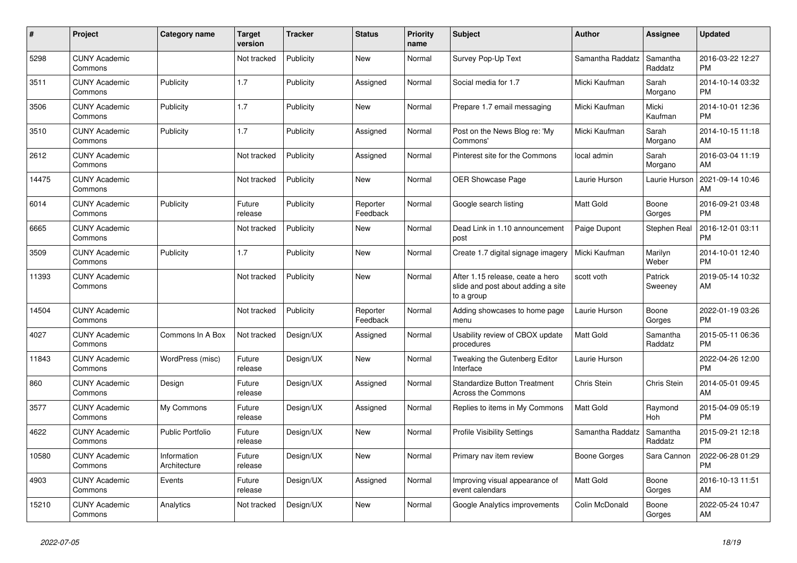| #     | Project                         | <b>Category name</b>        | <b>Target</b><br>version | <b>Tracker</b> | <b>Status</b>        | <b>Priority</b><br>name | <b>Subject</b>                                                                       | <b>Author</b>    | Assignee            | <b>Updated</b>                |
|-------|---------------------------------|-----------------------------|--------------------------|----------------|----------------------|-------------------------|--------------------------------------------------------------------------------------|------------------|---------------------|-------------------------------|
| 5298  | <b>CUNY Academic</b><br>Commons |                             | Not tracked              | Publicity      | New                  | Normal                  | Survey Pop-Up Text                                                                   | Samantha Raddatz | Samantha<br>Raddatz | 2016-03-22 12:27<br><b>PM</b> |
| 3511  | <b>CUNY Academic</b><br>Commons | Publicity                   | 1.7                      | Publicity      | Assigned             | Normal                  | Social media for 1.7                                                                 | Micki Kaufman    | Sarah<br>Morgano    | 2014-10-14 03:32<br><b>PM</b> |
| 3506  | <b>CUNY Academic</b><br>Commons | Publicity                   | 1.7                      | Publicity      | New                  | Normal                  | Prepare 1.7 email messaging                                                          | Micki Kaufman    | Micki<br>Kaufman    | 2014-10-01 12:36<br><b>PM</b> |
| 3510  | <b>CUNY Academic</b><br>Commons | Publicity                   | 1.7                      | Publicity      | Assigned             | Normal                  | Post on the News Blog re: 'My<br>Commons'                                            | Micki Kaufman    | Sarah<br>Morgano    | 2014-10-15 11:18<br>AM        |
| 2612  | <b>CUNY Academic</b><br>Commons |                             | Not tracked              | Publicity      | Assigned             | Normal                  | Pinterest site for the Commons                                                       | local admin      | Sarah<br>Morgano    | 2016-03-04 11:19<br>AM        |
| 14475 | <b>CUNY Academic</b><br>Commons |                             | Not tracked              | Publicity      | New                  | Normal                  | OER Showcase Page                                                                    | Laurie Hurson    | Laurie Hurson       | 2021-09-14 10:46<br>AM        |
| 6014  | <b>CUNY Academic</b><br>Commons | Publicity                   | Future<br>release        | Publicity      | Reporter<br>Feedback | Normal                  | Google search listing                                                                | <b>Matt Gold</b> | Boone<br>Gorges     | 2016-09-21 03:48<br><b>PM</b> |
| 6665  | <b>CUNY Academic</b><br>Commons |                             | Not tracked              | Publicity      | <b>New</b>           | Normal                  | Dead Link in 1.10 announcement<br>post                                               | Paige Dupont     | Stephen Real        | 2016-12-01 03:11<br><b>PM</b> |
| 3509  | <b>CUNY Academic</b><br>Commons | Publicity                   | 1.7                      | Publicity      | New                  | Normal                  | Create 1.7 digital signage imagery                                                   | Micki Kaufman    | Marilyn<br>Weber    | 2014-10-01 12:40<br><b>PM</b> |
| 11393 | <b>CUNY Academic</b><br>Commons |                             | Not tracked              | Publicity      | New                  | Normal                  | After 1.15 release, ceate a hero<br>slide and post about adding a site<br>to a group | scott voth       | Patrick<br>Sweeney  | 2019-05-14 10:32<br>AM        |
| 14504 | <b>CUNY Academic</b><br>Commons |                             | Not tracked              | Publicity      | Reporter<br>Feedback | Normal                  | Adding showcases to home page<br>menu                                                | Laurie Hurson    | Boone<br>Gorges     | 2022-01-19 03:26<br><b>PM</b> |
| 4027  | <b>CUNY Academic</b><br>Commons | Commons In A Box            | Not tracked              | Design/UX      | Assigned             | Normal                  | Usability review of CBOX update<br>procedures                                        | <b>Matt Gold</b> | Samantha<br>Raddatz | 2015-05-11 06:36<br><b>PM</b> |
| 11843 | <b>CUNY Academic</b><br>Commons | WordPress (misc)            | Future<br>release        | Design/UX      | <b>New</b>           | Normal                  | Tweaking the Gutenberg Editor<br>Interface                                           | Laurie Hurson    |                     | 2022-04-26 12:00<br><b>PM</b> |
| 860   | <b>CUNY Academic</b><br>Commons | Design                      | Future<br>release        | Design/UX      | Assigned             | Normal                  | <b>Standardize Button Treatment</b><br>Across the Commons                            | Chris Stein      | Chris Stein         | 2014-05-01 09:45<br>AM        |
| 3577  | <b>CUNY Academic</b><br>Commons | My Commons                  | Future<br>release        | Design/UX      | Assigned             | Normal                  | Replies to items in My Commons                                                       | <b>Matt Gold</b> | Raymond<br>Hoh      | 2015-04-09 05:19<br><b>PM</b> |
| 4622  | <b>CUNY Academic</b><br>Commons | <b>Public Portfolio</b>     | Future<br>release        | Design/UX      | <b>New</b>           | Normal                  | <b>Profile Visibility Settings</b>                                                   | Samantha Raddatz | Samantha<br>Raddatz | 2015-09-21 12:18<br><b>PM</b> |
| 10580 | <b>CUNY Academic</b><br>Commons | Information<br>Architecture | Future<br>release        | Design/UX      | <b>New</b>           | Normal                  | Primary nav item review                                                              | Boone Gorges     | Sara Cannon         | 2022-06-28 01:29<br><b>PM</b> |
| 4903  | <b>CUNY Academic</b><br>Commons | Events                      | Future<br>release        | Design/UX      | Assigned             | Normal                  | Improving visual appearance of<br>event calendars                                    | <b>Matt Gold</b> | Boone<br>Gorges     | 2016-10-13 11:51<br>AM        |
| 15210 | <b>CUNY Academic</b><br>Commons | Analytics                   | Not tracked              | Design/UX      | <b>New</b>           | Normal                  | Google Analytics improvements                                                        | Colin McDonald   | Boone<br>Gorges     | 2022-05-24 10:47<br>AM        |